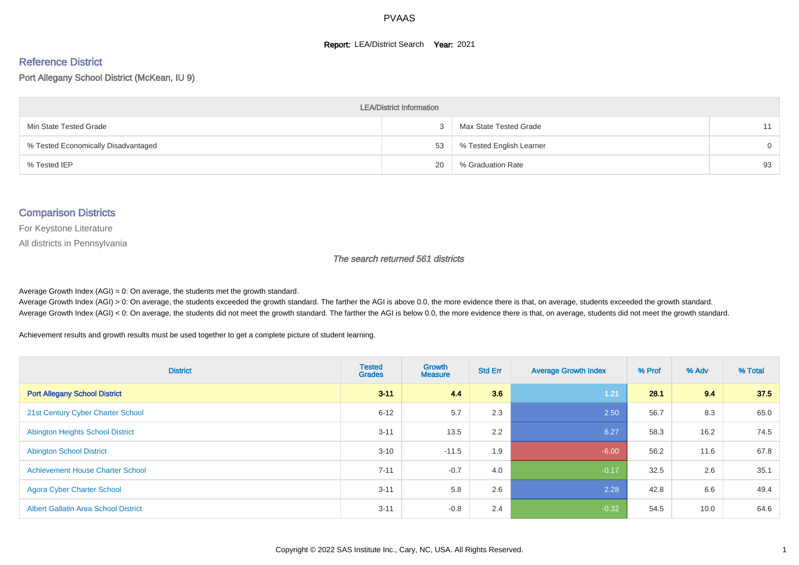#### **Report: LEA/District Search Year: 2021**

# Reference District

Port Allegany School District (McKean, IU 9)

| <b>LEA/District Information</b>     |    |                          |    |  |  |  |  |  |  |  |
|-------------------------------------|----|--------------------------|----|--|--|--|--|--|--|--|
| Min State Tested Grade              |    | Max State Tested Grade   | 11 |  |  |  |  |  |  |  |
| % Tested Economically Disadvantaged | 53 | % Tested English Learner | 0  |  |  |  |  |  |  |  |
| % Tested IEP                        | 20 | % Graduation Rate        | 93 |  |  |  |  |  |  |  |

#### Comparison Districts

For Keystone Literature

All districts in Pennsylvania

The search returned 561 districts

Average Growth Index  $(AGI) = 0$ : On average, the students met the growth standard.

Average Growth Index (AGI) > 0: On average, the students exceeded the growth standard. The farther the AGI is above 0.0, the more evidence there is that, on average, students exceeded the growth standard. Average Growth Index (AGI) < 0: On average, the students did not meet the growth standard. The farther the AGI is below 0.0, the more evidence there is that, on average, students did not meet the growth standard.

Achievement results and growth results must be used together to get a complete picture of student learning.

| <b>District</b>                             | <b>Tested</b><br><b>Grades</b> | <b>Growth</b><br><b>Measure</b> | <b>Std Err</b> | <b>Average Growth Index</b> | % Prof | % Adv | % Total |
|---------------------------------------------|--------------------------------|---------------------------------|----------------|-----------------------------|--------|-------|---------|
| <b>Port Allegany School District</b>        | $3 - 11$                       | 4.4                             | 3.6            | 1.21                        | 28.1   | 9.4   | 37.5    |
| 21st Century Cyber Charter School           | $6 - 12$                       | 5.7                             | 2.3            | 2.50                        | 56.7   | 8.3   | 65.0    |
| <b>Abington Heights School District</b>     | $3 - 11$                       | 13.5                            | 2.2            | 6.27                        | 58.3   | 16.2  | 74.5    |
| <b>Abington School District</b>             | $3 - 10$                       | $-11.5$                         | 1.9            | $-6.00$                     | 56.2   | 11.6  | 67.8    |
| <b>Achievement House Charter School</b>     | $7 - 11$                       | $-0.7$                          | 4.0            | $-0.17$                     | 32.5   | 2.6   | 35.1    |
| <b>Agora Cyber Charter School</b>           | $3 - 11$                       | 5.8                             | 2.6            | 2.28                        | 42.8   | 6.6   | 49.4    |
| <b>Albert Gallatin Area School District</b> | $3 - 11$                       | $-0.8$                          | 2.4            | $-0.32$                     | 54.5   | 10.0  | 64.6    |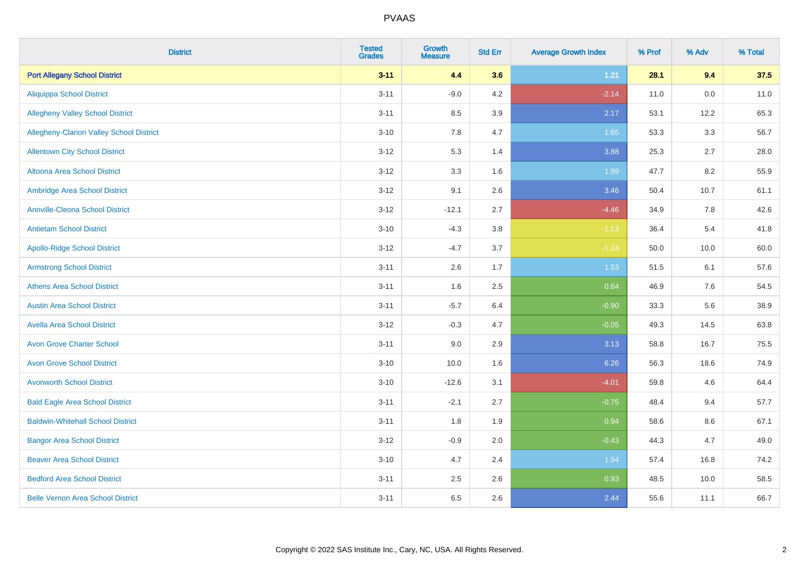| <b>District</b>                          | <b>Tested</b><br><b>Grades</b> | <b>Growth</b><br><b>Measure</b> | <b>Std Err</b> | <b>Average Growth Index</b> | % Prof | % Adv   | % Total |
|------------------------------------------|--------------------------------|---------------------------------|----------------|-----------------------------|--------|---------|---------|
| <b>Port Allegany School District</b>     | $3 - 11$                       | 4.4                             | 3.6            | $1.21$                      | 28.1   | 9.4     | 37.5    |
| <b>Aliquippa School District</b>         | $3 - 11$                       | $-9.0$                          | 4.2            | $-2.14$                     | 11.0   | $0.0\,$ | 11.0    |
| <b>Allegheny Valley School District</b>  | $3 - 11$                       | 8.5                             | 3.9            | 2.17                        | 53.1   | 12.2    | 65.3    |
| Allegheny-Clarion Valley School District | $3 - 10$                       | 7.8                             | 4.7            | 1.65                        | 53.3   | 3.3     | 56.7    |
| <b>Allentown City School District</b>    | $3 - 12$                       | 5.3                             | 1.4            | 3.88                        | 25.3   | 2.7     | 28.0    |
| <b>Altoona Area School District</b>      | $3 - 12$                       | 3.3                             | 1.6            | 1.99                        | 47.7   | 8.2     | 55.9    |
| Ambridge Area School District            | $3 - 12$                       | 9.1                             | 2.6            | 3.46                        | 50.4   | 10.7    | 61.1    |
| <b>Annville-Cleona School District</b>   | $3 - 12$                       | $-12.1$                         | 2.7            | $-4.46$                     | 34.9   | 7.8     | 42.6    |
| <b>Antietam School District</b>          | $3 - 10$                       | $-4.3$                          | 3.8            | $-1.13$                     | 36.4   | 5.4     | 41.8    |
| <b>Apollo-Ridge School District</b>      | $3 - 12$                       | $-4.7$                          | 3.7            | $-1.24$                     | 50.0   | 10.0    | 60.0    |
| <b>Armstrong School District</b>         | $3 - 11$                       | 2.6                             | 1.7            | 1.53                        | 51.5   | 6.1     | 57.6    |
| <b>Athens Area School District</b>       | $3 - 11$                       | 1.6                             | 2.5            | 0.64                        | 46.9   | 7.6     | 54.5    |
| <b>Austin Area School District</b>       | $3 - 11$                       | $-5.7$                          | 6.4            | $-0.90$                     | 33.3   | 5.6     | 38.9    |
| <b>Avella Area School District</b>       | $3 - 12$                       | $-0.3$                          | 4.7            | $-0.05$                     | 49.3   | 14.5    | 63.8    |
| <b>Avon Grove Charter School</b>         | $3 - 11$                       | 9.0                             | 2.9            | 3.13                        | 58.8   | 16.7    | 75.5    |
| <b>Avon Grove School District</b>        | $3 - 10$                       | 10.0                            | 1.6            | 6.26                        | 56.3   | 18.6    | 74.9    |
| <b>Avonworth School District</b>         | $3 - 10$                       | $-12.6$                         | 3.1            | $-4.01$                     | 59.8   | 4.6     | 64.4    |
| <b>Bald Eagle Area School District</b>   | $3 - 11$                       | $-2.1$                          | 2.7            | $-0.75$                     | 48.4   | 9.4     | 57.7    |
| <b>Baldwin-Whitehall School District</b> | $3 - 11$                       | 1.8                             | 1.9            | 0.94                        | 58.6   | 8.6     | 67.1    |
| <b>Bangor Area School District</b>       | $3 - 12$                       | $-0.9$                          | 2.0            | $-0.43$                     | 44.3   | 4.7     | 49.0    |
| <b>Beaver Area School District</b>       | $3 - 10$                       | 4.7                             | 2.4            | 1.94                        | 57.4   | 16.8    | 74.2    |
| <b>Bedford Area School District</b>      | $3 - 11$                       | 2.5                             | 2.6            | 0.93                        | 48.5   | 10.0    | 58.5    |
| <b>Belle Vernon Area School District</b> | $3 - 11$                       | 6.5                             | 2.6            | 2.44                        | 55.6   | 11.1    | 66.7    |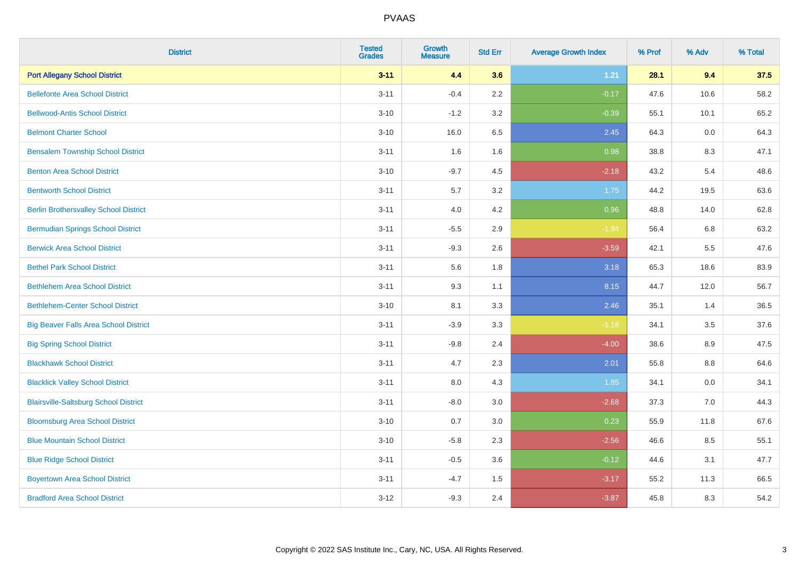| <b>District</b>                              | <b>Tested</b><br><b>Grades</b> | <b>Growth</b><br><b>Measure</b> | <b>Std Err</b> | <b>Average Growth Index</b> | % Prof | % Adv | % Total |
|----------------------------------------------|--------------------------------|---------------------------------|----------------|-----------------------------|--------|-------|---------|
| <b>Port Allegany School District</b>         | $3 - 11$                       | 4.4                             | 3.6            | 1.21                        | 28.1   | 9.4   | 37.5    |
| <b>Bellefonte Area School District</b>       | $3 - 11$                       | $-0.4$                          | 2.2            | $-0.17$                     | 47.6   | 10.6  | 58.2    |
| <b>Bellwood-Antis School District</b>        | $3 - 10$                       | $-1.2$                          | 3.2            | $-0.39$                     | 55.1   | 10.1  | 65.2    |
| <b>Belmont Charter School</b>                | $3 - 10$                       | 16.0                            | 6.5            | 2.45                        | 64.3   | 0.0   | 64.3    |
| <b>Bensalem Township School District</b>     | $3 - 11$                       | 1.6                             | 1.6            | 0.98                        | 38.8   | 8.3   | 47.1    |
| <b>Benton Area School District</b>           | $3 - 10$                       | $-9.7$                          | 4.5            | $-2.18$                     | 43.2   | 5.4   | 48.6    |
| <b>Bentworth School District</b>             | $3 - 11$                       | 5.7                             | 3.2            | 1.75                        | 44.2   | 19.5  | 63.6    |
| <b>Berlin Brothersvalley School District</b> | $3 - 11$                       | 4.0                             | 4.2            | 0.96                        | 48.8   | 14.0  | 62.8    |
| <b>Bermudian Springs School District</b>     | $3 - 11$                       | $-5.5$                          | 2.9            | $-1.94$                     | 56.4   | 6.8   | 63.2    |
| <b>Berwick Area School District</b>          | $3 - 11$                       | $-9.3$                          | 2.6            | $-3.59$                     | 42.1   | 5.5   | 47.6    |
| <b>Bethel Park School District</b>           | $3 - 11$                       | 5.6                             | 1.8            | 3.18                        | 65.3   | 18.6  | 83.9    |
| <b>Bethlehem Area School District</b>        | $3 - 11$                       | 9.3                             | 1.1            | 8.15                        | 44.7   | 12.0  | 56.7    |
| <b>Bethlehem-Center School District</b>      | $3 - 10$                       | 8.1                             | 3.3            | 2.46                        | 35.1   | 1.4   | 36.5    |
| <b>Big Beaver Falls Area School District</b> | $3 - 11$                       | $-3.9$                          | 3.3            | $-1.18$                     | 34.1   | 3.5   | 37.6    |
| <b>Big Spring School District</b>            | $3 - 11$                       | $-9.8$                          | 2.4            | $-4.00$                     | 38.6   | 8.9   | 47.5    |
| <b>Blackhawk School District</b>             | $3 - 11$                       | 4.7                             | 2.3            | 2.01                        | 55.8   | 8.8   | 64.6    |
| <b>Blacklick Valley School District</b>      | $3 - 11$                       | 8.0                             | 4.3            | 1.85                        | 34.1   | 0.0   | 34.1    |
| <b>Blairsville-Saltsburg School District</b> | $3 - 11$                       | $-8.0$                          | 3.0            | $-2.68$                     | 37.3   | 7.0   | 44.3    |
| <b>Bloomsburg Area School District</b>       | $3 - 10$                       | 0.7                             | 3.0            | 0.23                        | 55.9   | 11.8  | 67.6    |
| <b>Blue Mountain School District</b>         | $3 - 10$                       | $-5.8$                          | 2.3            | $-2.56$                     | 46.6   | 8.5   | 55.1    |
| <b>Blue Ridge School District</b>            | $3 - 11$                       | $-0.5$                          | 3.6            | $-0.12$                     | 44.6   | 3.1   | 47.7    |
| <b>Boyertown Area School District</b>        | $3 - 11$                       | $-4.7$                          | 1.5            | $-3.17$                     | 55.2   | 11.3  | 66.5    |
| <b>Bradford Area School District</b>         | $3 - 12$                       | $-9.3$                          | 2.4            | $-3.87$                     | 45.8   | 8.3   | 54.2    |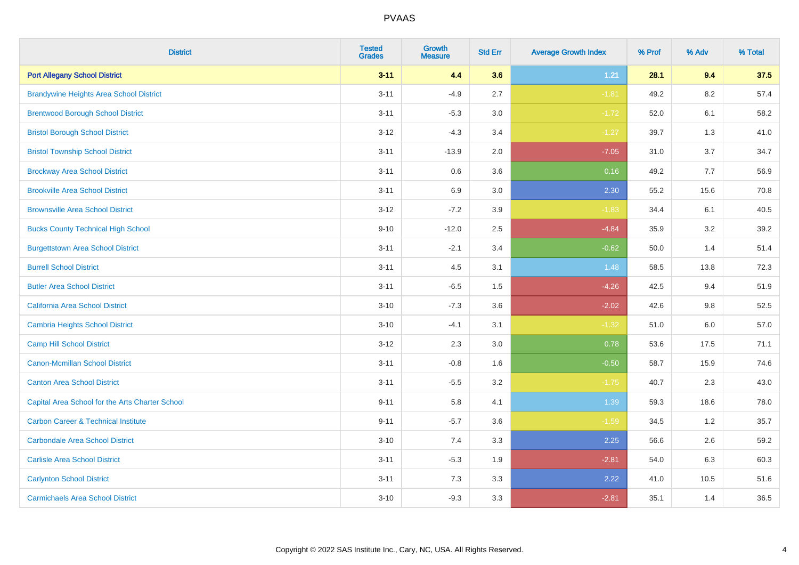| <b>District</b>                                 | <b>Tested</b><br><b>Grades</b> | Growth<br><b>Measure</b> | <b>Std Err</b> | <b>Average Growth Index</b> | % Prof | % Adv   | % Total |
|-------------------------------------------------|--------------------------------|--------------------------|----------------|-----------------------------|--------|---------|---------|
| <b>Port Allegany School District</b>            | $3 - 11$                       | 4.4                      | 3.6            | $1.21$                      | 28.1   | 9.4     | 37.5    |
| <b>Brandywine Heights Area School District</b>  | $3 - 11$                       | $-4.9$                   | 2.7            | $-1.81$                     | 49.2   | 8.2     | 57.4    |
| <b>Brentwood Borough School District</b>        | $3 - 11$                       | $-5.3$                   | 3.0            | $-1.72$                     | 52.0   | 6.1     | 58.2    |
| <b>Bristol Borough School District</b>          | $3 - 12$                       | $-4.3$                   | 3.4            | $-1.27$                     | 39.7   | 1.3     | 41.0    |
| <b>Bristol Township School District</b>         | $3 - 11$                       | $-13.9$                  | 2.0            | $-7.05$                     | 31.0   | 3.7     | 34.7    |
| <b>Brockway Area School District</b>            | $3 - 11$                       | 0.6                      | 3.6            | 0.16                        | 49.2   | 7.7     | 56.9    |
| <b>Brookville Area School District</b>          | $3 - 11$                       | 6.9                      | 3.0            | 2.30                        | 55.2   | 15.6    | 70.8    |
| <b>Brownsville Area School District</b>         | $3 - 12$                       | $-7.2$                   | 3.9            | $-1.83$                     | 34.4   | 6.1     | 40.5    |
| <b>Bucks County Technical High School</b>       | $9 - 10$                       | $-12.0$                  | 2.5            | $-4.84$                     | 35.9   | 3.2     | 39.2    |
| <b>Burgettstown Area School District</b>        | $3 - 11$                       | $-2.1$                   | 3.4            | $-0.62$                     | 50.0   | 1.4     | 51.4    |
| <b>Burrell School District</b>                  | $3 - 11$                       | 4.5                      | 3.1            | 1.48                        | 58.5   | 13.8    | 72.3    |
| <b>Butler Area School District</b>              | $3 - 11$                       | $-6.5$                   | 1.5            | $-4.26$                     | 42.5   | 9.4     | 51.9    |
| California Area School District                 | $3 - 10$                       | $-7.3$                   | 3.6            | $-2.02$                     | 42.6   | 9.8     | 52.5    |
| Cambria Heights School District                 | $3 - 10$                       | $-4.1$                   | 3.1            | $-1.32$                     | 51.0   | $6.0\,$ | 57.0    |
| <b>Camp Hill School District</b>                | $3 - 12$                       | 2.3                      | 3.0            | 0.78                        | 53.6   | 17.5    | 71.1    |
| Canon-Mcmillan School District                  | $3 - 11$                       | $-0.8$                   | 1.6            | $-0.50$                     | 58.7   | 15.9    | 74.6    |
| <b>Canton Area School District</b>              | $3 - 11$                       | $-5.5$                   | 3.2            | $-1.75$                     | 40.7   | 2.3     | 43.0    |
| Capital Area School for the Arts Charter School | $9 - 11$                       | 5.8                      | 4.1            | 1.39                        | 59.3   | 18.6    | 78.0    |
| <b>Carbon Career &amp; Technical Institute</b>  | $9 - 11$                       | $-5.7$                   | 3.6            | $-1.59$                     | 34.5   | 1.2     | 35.7    |
| <b>Carbondale Area School District</b>          | $3 - 10$                       | 7.4                      | 3.3            | 2.25                        | 56.6   | 2.6     | 59.2    |
| <b>Carlisle Area School District</b>            | $3 - 11$                       | $-5.3$                   | 1.9            | $-2.81$                     | 54.0   | 6.3     | 60.3    |
| <b>Carlynton School District</b>                | $3 - 11$                       | 7.3                      | 3.3            | 2.22                        | 41.0   | 10.5    | 51.6    |
| <b>Carmichaels Area School District</b>         | $3 - 10$                       | $-9.3$                   | 3.3            | $-2.81$                     | 35.1   | 1.4     | 36.5    |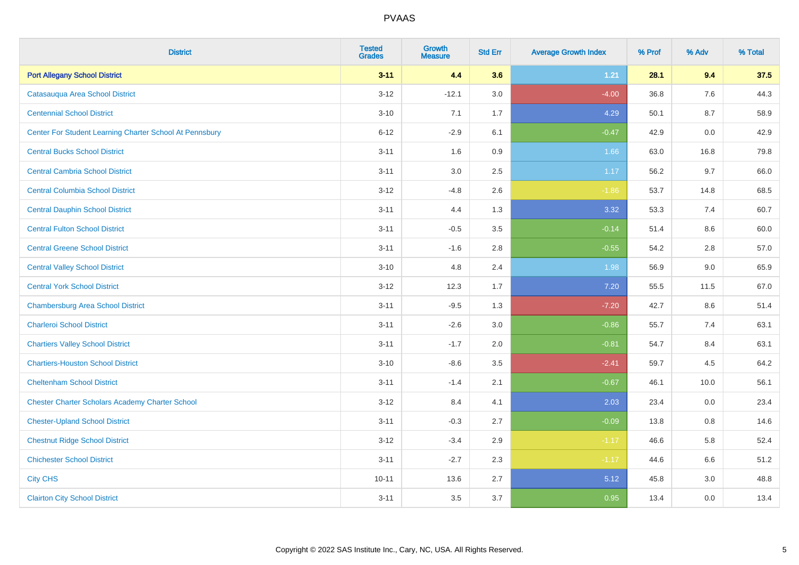| <b>District</b>                                         | <b>Tested</b><br><b>Grades</b> | <b>Growth</b><br><b>Measure</b> | <b>Std Err</b> | <b>Average Growth Index</b> | % Prof | % Adv | % Total |
|---------------------------------------------------------|--------------------------------|---------------------------------|----------------|-----------------------------|--------|-------|---------|
| <b>Port Allegany School District</b>                    | $3 - 11$                       | 4.4                             | 3.6            | $1.21$                      | 28.1   | 9.4   | 37.5    |
| Catasaugua Area School District                         | $3 - 12$                       | $-12.1$                         | 3.0            | $-4.00$                     | 36.8   | 7.6   | 44.3    |
| <b>Centennial School District</b>                       | $3 - 10$                       | 7.1                             | 1.7            | 4.29                        | 50.1   | 8.7   | 58.9    |
| Center For Student Learning Charter School At Pennsbury | $6 - 12$                       | $-2.9$                          | 6.1            | $-0.47$                     | 42.9   | 0.0   | 42.9    |
| <b>Central Bucks School District</b>                    | $3 - 11$                       | 1.6                             | 0.9            | 1.66                        | 63.0   | 16.8  | 79.8    |
| <b>Central Cambria School District</b>                  | $3 - 11$                       | 3.0                             | 2.5            | 1.17                        | 56.2   | 9.7   | 66.0    |
| <b>Central Columbia School District</b>                 | $3 - 12$                       | $-4.8$                          | 2.6            | $-1.86$                     | 53.7   | 14.8  | 68.5    |
| <b>Central Dauphin School District</b>                  | $3 - 11$                       | 4.4                             | 1.3            | 3.32                        | 53.3   | 7.4   | 60.7    |
| <b>Central Fulton School District</b>                   | $3 - 11$                       | $-0.5$                          | 3.5            | $-0.14$                     | 51.4   | 8.6   | 60.0    |
| <b>Central Greene School District</b>                   | $3 - 11$                       | $-1.6$                          | 2.8            | $-0.55$                     | 54.2   | 2.8   | 57.0    |
| <b>Central Valley School District</b>                   | $3 - 10$                       | 4.8                             | 2.4            | 1.98                        | 56.9   | 9.0   | 65.9    |
| <b>Central York School District</b>                     | $3 - 12$                       | 12.3                            | 1.7            | 7.20                        | 55.5   | 11.5  | 67.0    |
| <b>Chambersburg Area School District</b>                | $3 - 11$                       | $-9.5$                          | 1.3            | $-7.20$                     | 42.7   | 8.6   | 51.4    |
| <b>Charleroi School District</b>                        | $3 - 11$                       | $-2.6$                          | 3.0            | $-0.86$                     | 55.7   | 7.4   | 63.1    |
| <b>Chartiers Valley School District</b>                 | $3 - 11$                       | $-1.7$                          | 2.0            | $-0.81$                     | 54.7   | 8.4   | 63.1    |
| <b>Chartiers-Houston School District</b>                | $3 - 10$                       | $-8.6$                          | 3.5            | $-2.41$                     | 59.7   | 4.5   | 64.2    |
| <b>Cheltenham School District</b>                       | $3 - 11$                       | $-1.4$                          | 2.1            | $-0.67$                     | 46.1   | 10.0  | 56.1    |
| <b>Chester Charter Scholars Academy Charter School</b>  | $3 - 12$                       | 8.4                             | 4.1            | 2.03                        | 23.4   | 0.0   | 23.4    |
| <b>Chester-Upland School District</b>                   | $3 - 11$                       | $-0.3$                          | 2.7            | $-0.09$                     | 13.8   | 0.8   | 14.6    |
| <b>Chestnut Ridge School District</b>                   | $3 - 12$                       | $-3.4$                          | 2.9            | $-1.17$                     | 46.6   | 5.8   | 52.4    |
| <b>Chichester School District</b>                       | $3 - 11$                       | $-2.7$                          | 2.3            | $-1.17$                     | 44.6   | 6.6   | 51.2    |
| <b>City CHS</b>                                         | $10 - 11$                      | 13.6                            | 2.7            | 5.12                        | 45.8   | 3.0   | 48.8    |
| <b>Clairton City School District</b>                    | $3 - 11$                       | 3.5                             | 3.7            | 0.95                        | 13.4   | 0.0   | 13.4    |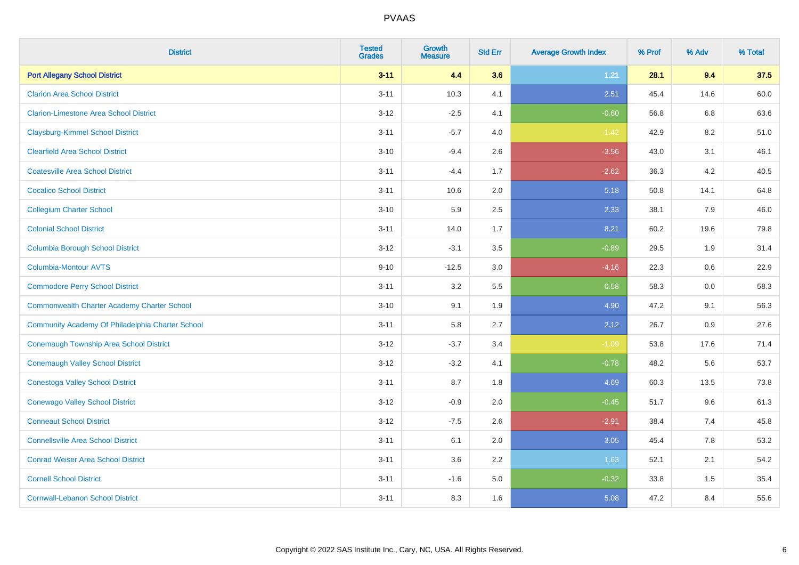| <b>District</b>                                    | <b>Tested</b><br><b>Grades</b> | Growth<br><b>Measure</b> | <b>Std Err</b> | <b>Average Growth Index</b> | % Prof | % Adv | % Total |
|----------------------------------------------------|--------------------------------|--------------------------|----------------|-----------------------------|--------|-------|---------|
| <b>Port Allegany School District</b>               | $3 - 11$                       | 4.4                      | 3.6            | $1.21$                      | 28.1   | 9.4   | 37.5    |
| <b>Clarion Area School District</b>                | $3 - 11$                       | 10.3                     | 4.1            | 2.51                        | 45.4   | 14.6  | 60.0    |
| <b>Clarion-Limestone Area School District</b>      | $3 - 12$                       | $-2.5$                   | 4.1            | $-0.60$                     | 56.8   | 6.8   | 63.6    |
| <b>Claysburg-Kimmel School District</b>            | $3 - 11$                       | $-5.7$                   | 4.0            | $-1.42$                     | 42.9   | 8.2   | 51.0    |
| <b>Clearfield Area School District</b>             | $3 - 10$                       | $-9.4$                   | 2.6            | $-3.56$                     | 43.0   | 3.1   | 46.1    |
| <b>Coatesville Area School District</b>            | $3 - 11$                       | $-4.4$                   | 1.7            | $-2.62$                     | 36.3   | 4.2   | 40.5    |
| <b>Cocalico School District</b>                    | $3 - 11$                       | 10.6                     | 2.0            | 5.18                        | 50.8   | 14.1  | 64.8    |
| <b>Collegium Charter School</b>                    | $3 - 10$                       | 5.9                      | 2.5            | 2.33                        | 38.1   | 7.9   | 46.0    |
| <b>Colonial School District</b>                    | $3 - 11$                       | 14.0                     | 1.7            | 8.21                        | 60.2   | 19.6  | 79.8    |
| <b>Columbia Borough School District</b>            | $3 - 12$                       | $-3.1$                   | 3.5            | $-0.89$                     | 29.5   | 1.9   | 31.4    |
| Columbia-Montour AVTS                              | $9 - 10$                       | $-12.5$                  | 3.0            | $-4.16$                     | 22.3   | 0.6   | 22.9    |
| <b>Commodore Perry School District</b>             | $3 - 11$                       | 3.2                      | 5.5            | 0.58                        | 58.3   | 0.0   | 58.3    |
| <b>Commonwealth Charter Academy Charter School</b> | $3 - 10$                       | 9.1                      | 1.9            | 4.90                        | 47.2   | 9.1   | 56.3    |
| Community Academy Of Philadelphia Charter School   | $3 - 11$                       | 5.8                      | 2.7            | 2.12                        | 26.7   | 0.9   | 27.6    |
| Conemaugh Township Area School District            | $3 - 12$                       | $-3.7$                   | 3.4            | $-1.09$                     | 53.8   | 17.6  | 71.4    |
| <b>Conemaugh Valley School District</b>            | $3 - 12$                       | $-3.2$                   | 4.1            | $-0.78$                     | 48.2   | 5.6   | 53.7    |
| <b>Conestoga Valley School District</b>            | $3 - 11$                       | 8.7                      | 1.8            | 4.69                        | 60.3   | 13.5  | 73.8    |
| <b>Conewago Valley School District</b>             | $3 - 12$                       | $-0.9$                   | 2.0            | $-0.45$                     | 51.7   | 9.6   | 61.3    |
| <b>Conneaut School District</b>                    | $3 - 12$                       | $-7.5$                   | 2.6            | $-2.91$                     | 38.4   | 7.4   | 45.8    |
| <b>Connellsville Area School District</b>          | $3 - 11$                       | 6.1                      | 2.0            | 3.05                        | 45.4   | 7.8   | 53.2    |
| <b>Conrad Weiser Area School District</b>          | $3 - 11$                       | 3.6                      | 2.2            | 1.63                        | 52.1   | 2.1   | 54.2    |
| <b>Cornell School District</b>                     | $3 - 11$                       | $-1.6$                   | 5.0            | $-0.32$                     | 33.8   | 1.5   | 35.4    |
| <b>Cornwall-Lebanon School District</b>            | $3 - 11$                       | 8.3                      | 1.6            | 5.08                        | 47.2   | 8.4   | 55.6    |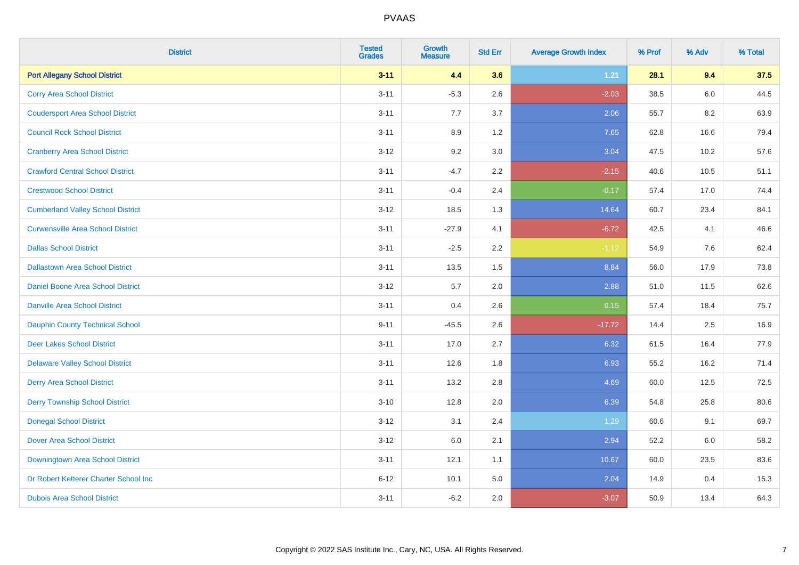| <b>District</b>                          | <b>Tested</b><br><b>Grades</b> | <b>Growth</b><br><b>Measure</b> | <b>Std Err</b> | <b>Average Growth Index</b> | % Prof | % Adv | % Total |
|------------------------------------------|--------------------------------|---------------------------------|----------------|-----------------------------|--------|-------|---------|
| <b>Port Allegany School District</b>     | $3 - 11$                       | 4.4                             | 3.6            | 1.21                        | 28.1   | 9.4   | 37.5    |
| <b>Corry Area School District</b>        | $3 - 11$                       | $-5.3$                          | 2.6            | $-2.03$                     | 38.5   | 6.0   | 44.5    |
| <b>Coudersport Area School District</b>  | $3 - 11$                       | 7.7                             | 3.7            | 2.06                        | 55.7   | 8.2   | 63.9    |
| <b>Council Rock School District</b>      | $3 - 11$                       | 8.9                             | 1.2            | 7.65                        | 62.8   | 16.6  | 79.4    |
| <b>Cranberry Area School District</b>    | $3 - 12$                       | 9.2                             | 3.0            | 3.04                        | 47.5   | 10.2  | 57.6    |
| <b>Crawford Central School District</b>  | $3 - 11$                       | $-4.7$                          | 2.2            | $-2.15$                     | 40.6   | 10.5  | 51.1    |
| <b>Crestwood School District</b>         | $3 - 11$                       | $-0.4$                          | 2.4            | $-0.17$                     | 57.4   | 17.0  | 74.4    |
| <b>Cumberland Valley School District</b> | $3 - 12$                       | 18.5                            | 1.3            | 14.64                       | 60.7   | 23.4  | 84.1    |
| <b>Curwensville Area School District</b> | $3 - 11$                       | $-27.9$                         | 4.1            | $-6.72$                     | 42.5   | 4.1   | 46.6    |
| <b>Dallas School District</b>            | $3 - 11$                       | $-2.5$                          | 2.2            | $-1.12$                     | 54.9   | 7.6   | 62.4    |
| <b>Dallastown Area School District</b>   | $3 - 11$                       | 13.5                            | 1.5            | 8.84                        | 56.0   | 17.9  | 73.8    |
| Daniel Boone Area School District        | $3 - 12$                       | 5.7                             | 2.0            | 2.88                        | 51.0   | 11.5  | 62.6    |
| <b>Danville Area School District</b>     | $3 - 11$                       | 0.4                             | 2.6            | 0.15                        | 57.4   | 18.4  | 75.7    |
| Dauphin County Technical School          | $9 - 11$                       | $-45.5$                         | 2.6            | $-17.72$                    | 14.4   | 2.5   | 16.9    |
| <b>Deer Lakes School District</b>        | $3 - 11$                       | 17.0                            | 2.7            | 6.32                        | 61.5   | 16.4  | 77.9    |
| <b>Delaware Valley School District</b>   | $3 - 11$                       | 12.6                            | 1.8            | 6.93                        | 55.2   | 16.2  | 71.4    |
| <b>Derry Area School District</b>        | $3 - 11$                       | 13.2                            | 2.8            | 4.69                        | 60.0   | 12.5  | 72.5    |
| <b>Derry Township School District</b>    | $3 - 10$                       | 12.8                            | 2.0            | 6.39                        | 54.8   | 25.8  | 80.6    |
| <b>Donegal School District</b>           | $3 - 12$                       | 3.1                             | 2.4            | 1.29                        | 60.6   | 9.1   | 69.7    |
| <b>Dover Area School District</b>        | $3 - 12$                       | 6.0                             | 2.1            | 2.94                        | 52.2   | 6.0   | 58.2    |
| Downingtown Area School District         | $3 - 11$                       | 12.1                            | 1.1            | 10.67                       | 60.0   | 23.5  | 83.6    |
| Dr Robert Ketterer Charter School Inc    | $6 - 12$                       | 10.1                            | 5.0            | 2.04                        | 14.9   | 0.4   | 15.3    |
| <b>Dubois Area School District</b>       | $3 - 11$                       | $-6.2$                          | 2.0            | $-3.07$                     | 50.9   | 13.4  | 64.3    |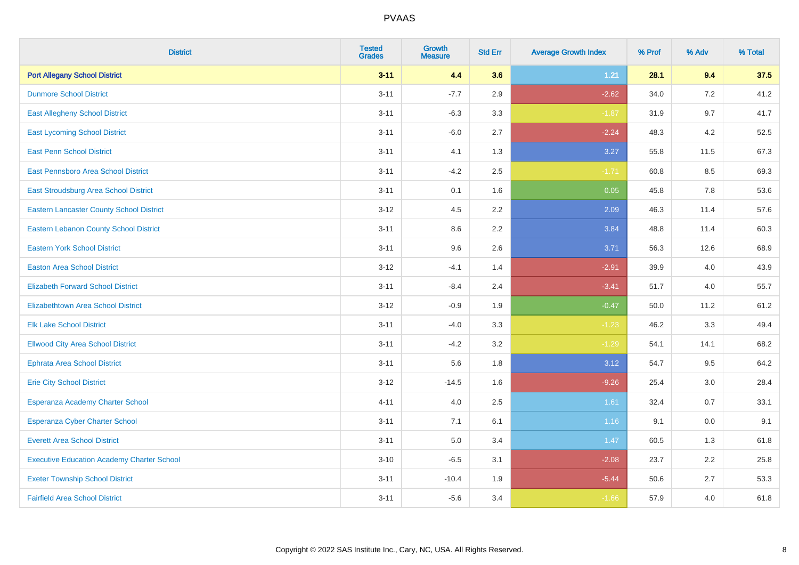| <b>District</b>                                   | <b>Tested</b><br><b>Grades</b> | <b>Growth</b><br><b>Measure</b> | <b>Std Err</b> | <b>Average Growth Index</b> | % Prof | % Adv | % Total |
|---------------------------------------------------|--------------------------------|---------------------------------|----------------|-----------------------------|--------|-------|---------|
| <b>Port Allegany School District</b>              | $3 - 11$                       | 4.4                             | 3.6            | $1.21$                      | 28.1   | 9.4   | 37.5    |
| <b>Dunmore School District</b>                    | $3 - 11$                       | $-7.7$                          | 2.9            | $-2.62$                     | 34.0   | 7.2   | 41.2    |
| <b>East Allegheny School District</b>             | $3 - 11$                       | $-6.3$                          | 3.3            | $-1.87$                     | 31.9   | 9.7   | 41.7    |
| <b>East Lycoming School District</b>              | $3 - 11$                       | $-6.0$                          | 2.7            | $-2.24$                     | 48.3   | 4.2   | 52.5    |
| <b>East Penn School District</b>                  | $3 - 11$                       | 4.1                             | 1.3            | 3.27                        | 55.8   | 11.5  | 67.3    |
| East Pennsboro Area School District               | $3 - 11$                       | $-4.2$                          | 2.5            | $-1.71$                     | 60.8   | 8.5   | 69.3    |
| East Stroudsburg Area School District             | $3 - 11$                       | 0.1                             | 1.6            | 0.05                        | 45.8   | 7.8   | 53.6    |
| <b>Eastern Lancaster County School District</b>   | $3 - 12$                       | 4.5                             | 2.2            | 2.09                        | 46.3   | 11.4  | 57.6    |
| <b>Eastern Lebanon County School District</b>     | $3 - 11$                       | 8.6                             | 2.2            | 3.84                        | 48.8   | 11.4  | 60.3    |
| <b>Eastern York School District</b>               | $3 - 11$                       | 9.6                             | 2.6            | 3.71                        | 56.3   | 12.6  | 68.9    |
| <b>Easton Area School District</b>                | $3-12$                         | $-4.1$                          | 1.4            | $-2.91$                     | 39.9   | 4.0   | 43.9    |
| <b>Elizabeth Forward School District</b>          | $3 - 11$                       | $-8.4$                          | 2.4            | $-3.41$                     | 51.7   | 4.0   | 55.7    |
| <b>Elizabethtown Area School District</b>         | $3 - 12$                       | $-0.9$                          | 1.9            | $-0.47$                     | 50.0   | 11.2  | 61.2    |
| <b>Elk Lake School District</b>                   | $3 - 11$                       | $-4.0$                          | 3.3            | $-1.23$                     | 46.2   | 3.3   | 49.4    |
| <b>Ellwood City Area School District</b>          | $3 - 11$                       | $-4.2$                          | 3.2            | $-1.29$                     | 54.1   | 14.1  | 68.2    |
| <b>Ephrata Area School District</b>               | $3 - 11$                       | 5.6                             | 1.8            | 3.12                        | 54.7   | 9.5   | 64.2    |
| <b>Erie City School District</b>                  | $3 - 12$                       | $-14.5$                         | 1.6            | $-9.26$                     | 25.4   | 3.0   | 28.4    |
| Esperanza Academy Charter School                  | $4 - 11$                       | 4.0                             | 2.5            | 1.61                        | 32.4   | 0.7   | 33.1    |
| <b>Esperanza Cyber Charter School</b>             | $3 - 11$                       | 7.1                             | 6.1            | 1.16                        | 9.1    | 0.0   | 9.1     |
| <b>Everett Area School District</b>               | $3 - 11$                       | 5.0                             | 3.4            | 1.47                        | 60.5   | 1.3   | 61.8    |
| <b>Executive Education Academy Charter School</b> | $3 - 10$                       | $-6.5$                          | 3.1            | $-2.08$                     | 23.7   | 2.2   | 25.8    |
| <b>Exeter Township School District</b>            | $3 - 11$                       | $-10.4$                         | 1.9            | $-5.44$                     | 50.6   | 2.7   | 53.3    |
| <b>Fairfield Area School District</b>             | $3 - 11$                       | $-5.6$                          | 3.4            | $-1.66$                     | 57.9   | 4.0   | 61.8    |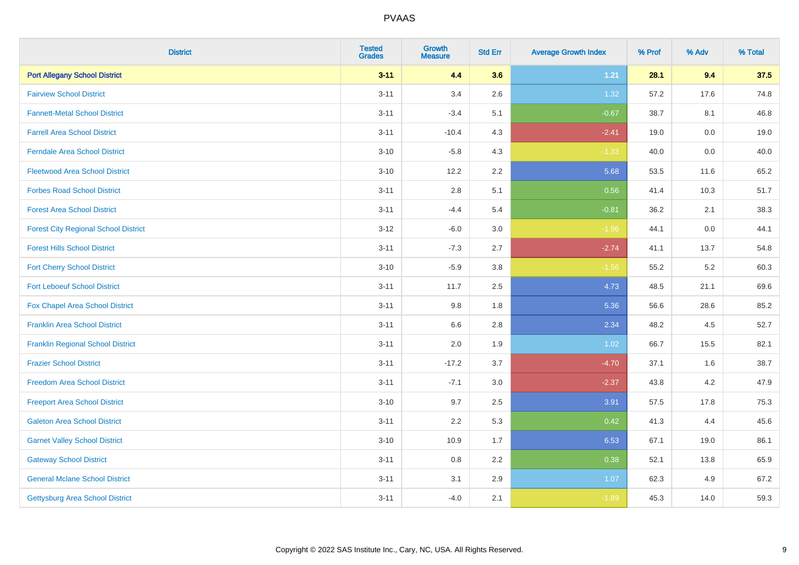| <b>District</b>                             | <b>Tested</b><br><b>Grades</b> | <b>Growth</b><br><b>Measure</b> | <b>Std Err</b> | <b>Average Growth Index</b> | % Prof | % Adv   | % Total |
|---------------------------------------------|--------------------------------|---------------------------------|----------------|-----------------------------|--------|---------|---------|
| <b>Port Allegany School District</b>        | $3 - 11$                       | 4.4                             | 3.6            | $1.21$                      | 28.1   | 9.4     | 37.5    |
| <b>Fairview School District</b>             | $3 - 11$                       | 3.4                             | 2.6            | 1.32                        | 57.2   | 17.6    | 74.8    |
| <b>Fannett-Metal School District</b>        | $3 - 11$                       | $-3.4$                          | 5.1            | $-0.67$                     | 38.7   | 8.1     | 46.8    |
| <b>Farrell Area School District</b>         | $3 - 11$                       | $-10.4$                         | 4.3            | $-2.41$                     | 19.0   | $0.0\,$ | 19.0    |
| <b>Ferndale Area School District</b>        | $3 - 10$                       | $-5.8$                          | 4.3            | $-1.33$                     | 40.0   | 0.0     | 40.0    |
| <b>Fleetwood Area School District</b>       | $3 - 10$                       | 12.2                            | 2.2            | 5.68                        | 53.5   | 11.6    | 65.2    |
| <b>Forbes Road School District</b>          | $3 - 11$                       | 2.8                             | 5.1            | 0.56                        | 41.4   | 10.3    | 51.7    |
| <b>Forest Area School District</b>          | $3 - 11$                       | $-4.4$                          | 5.4            | $-0.81$                     | 36.2   | 2.1     | 38.3    |
| <b>Forest City Regional School District</b> | $3 - 12$                       | $-6.0$                          | 3.0            | $-1.96$                     | 44.1   | $0.0\,$ | 44.1    |
| <b>Forest Hills School District</b>         | $3 - 11$                       | $-7.3$                          | 2.7            | $-2.74$                     | 41.1   | 13.7    | 54.8    |
| <b>Fort Cherry School District</b>          | $3 - 10$                       | $-5.9$                          | 3.8            | $-1.56$                     | 55.2   | $5.2\,$ | 60.3    |
| <b>Fort Leboeuf School District</b>         | $3 - 11$                       | 11.7                            | 2.5            | 4.73                        | 48.5   | 21.1    | 69.6    |
| Fox Chapel Area School District             | $3 - 11$                       | 9.8                             | 1.8            | 5.36                        | 56.6   | 28.6    | 85.2    |
| <b>Franklin Area School District</b>        | $3 - 11$                       | 6.6                             | 2.8            | 2.34                        | 48.2   | 4.5     | 52.7    |
| <b>Franklin Regional School District</b>    | $3 - 11$                       | 2.0                             | 1.9            | 1.02                        | 66.7   | 15.5    | 82.1    |
| <b>Frazier School District</b>              | $3 - 11$                       | $-17.2$                         | 3.7            | $-4.70$                     | 37.1   | 1.6     | 38.7    |
| <b>Freedom Area School District</b>         | $3 - 11$                       | $-7.1$                          | 3.0            | $-2.37$                     | 43.8   | $4.2\,$ | 47.9    |
| <b>Freeport Area School District</b>        | $3 - 10$                       | 9.7                             | 2.5            | 3.91                        | 57.5   | 17.8    | 75.3    |
| <b>Galeton Area School District</b>         | $3 - 11$                       | 2.2                             | 5.3            | 0.42                        | 41.3   | 4.4     | 45.6    |
| <b>Garnet Valley School District</b>        | $3 - 10$                       | 10.9                            | 1.7            | 6.53                        | 67.1   | 19.0    | 86.1    |
| <b>Gateway School District</b>              | $3 - 11$                       | 0.8                             | 2.2            | 0.38                        | 52.1   | 13.8    | 65.9    |
| <b>General Mclane School District</b>       | $3 - 11$                       | 3.1                             | 2.9            | 1.07                        | 62.3   | 4.9     | 67.2    |
| <b>Gettysburg Area School District</b>      | $3 - 11$                       | $-4.0$                          | 2.1            | $-1.89$                     | 45.3   | 14.0    | 59.3    |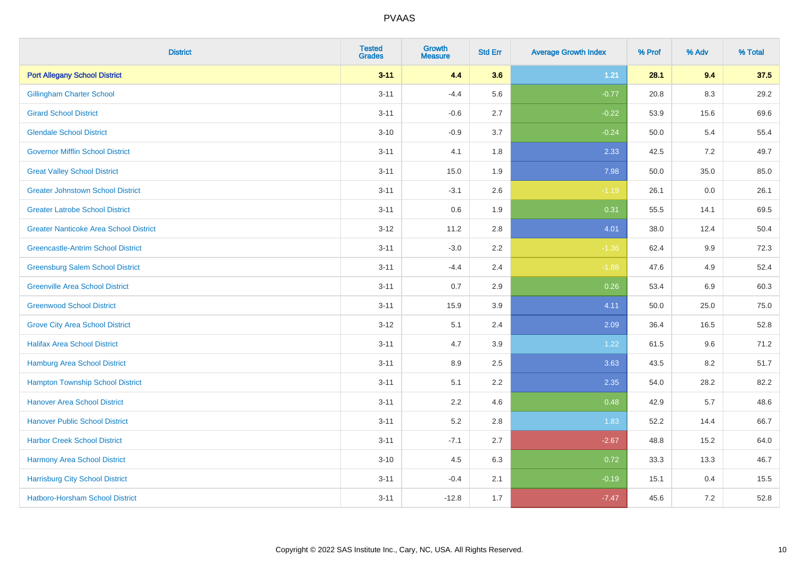| <b>District</b>                               | <b>Tested</b><br><b>Grades</b> | <b>Growth</b><br><b>Measure</b> | <b>Std Err</b> | <b>Average Growth Index</b> | % Prof | % Adv   | % Total |
|-----------------------------------------------|--------------------------------|---------------------------------|----------------|-----------------------------|--------|---------|---------|
| <b>Port Allegany School District</b>          | $3 - 11$                       | 4.4                             | 3.6            | $1.21$                      | 28.1   | 9.4     | 37.5    |
| <b>Gillingham Charter School</b>              | $3 - 11$                       | $-4.4$                          | 5.6            | $-0.77$                     | 20.8   | $8.3\,$ | 29.2    |
| <b>Girard School District</b>                 | $3 - 11$                       | $-0.6$                          | 2.7            | $-0.22$                     | 53.9   | 15.6    | 69.6    |
| <b>Glendale School District</b>               | $3 - 10$                       | $-0.9$                          | 3.7            | $-0.24$                     | 50.0   | 5.4     | 55.4    |
| <b>Governor Mifflin School District</b>       | $3 - 11$                       | 4.1                             | 1.8            | 2.33                        | 42.5   | 7.2     | 49.7    |
| <b>Great Valley School District</b>           | $3 - 11$                       | 15.0                            | 1.9            | 7.98                        | 50.0   | 35.0    | 85.0    |
| <b>Greater Johnstown School District</b>      | $3 - 11$                       | $-3.1$                          | 2.6            | $-1.19$                     | 26.1   | 0.0     | 26.1    |
| <b>Greater Latrobe School District</b>        | $3 - 11$                       | 0.6                             | 1.9            | 0.31                        | 55.5   | 14.1    | 69.5    |
| <b>Greater Nanticoke Area School District</b> | $3 - 12$                       | 11.2                            | 2.8            | 4.01                        | 38.0   | 12.4    | 50.4    |
| <b>Greencastle-Antrim School District</b>     | $3 - 11$                       | $-3.0$                          | 2.2            | $-1.36$                     | 62.4   | 9.9     | 72.3    |
| <b>Greensburg Salem School District</b>       | $3 - 11$                       | $-4.4$                          | 2.4            | $-1.88$                     | 47.6   | 4.9     | 52.4    |
| <b>Greenville Area School District</b>        | $3 - 11$                       | 0.7                             | 2.9            | 0.26                        | 53.4   | 6.9     | 60.3    |
| <b>Greenwood School District</b>              | $3 - 11$                       | 15.9                            | 3.9            | 4.11                        | 50.0   | 25.0    | 75.0    |
| <b>Grove City Area School District</b>        | $3 - 12$                       | 5.1                             | 2.4            | 2.09                        | 36.4   | 16.5    | 52.8    |
| <b>Halifax Area School District</b>           | $3 - 11$                       | 4.7                             | 3.9            | 1.22                        | 61.5   | 9.6     | 71.2    |
| <b>Hamburg Area School District</b>           | $3 - 11$                       | 8.9                             | 2.5            | 3.63                        | 43.5   | 8.2     | 51.7    |
| <b>Hampton Township School District</b>       | $3 - 11$                       | 5.1                             | 2.2            | 2.35                        | 54.0   | 28.2    | 82.2    |
| <b>Hanover Area School District</b>           | $3 - 11$                       | 2.2                             | 4.6            | 0.48                        | 42.9   | 5.7     | 48.6    |
| <b>Hanover Public School District</b>         | $3 - 11$                       | 5.2                             | $2.8\,$        | 1.83                        | 52.2   | 14.4    | 66.7    |
| <b>Harbor Creek School District</b>           | $3 - 11$                       | $-7.1$                          | 2.7            | $-2.67$                     | 48.8   | 15.2    | 64.0    |
| Harmony Area School District                  | $3 - 10$                       | 4.5                             | 6.3            | 0.72                        | 33.3   | 13.3    | 46.7    |
| <b>Harrisburg City School District</b>        | $3 - 11$                       | $-0.4$                          | 2.1            | $-0.19$                     | 15.1   | 0.4     | 15.5    |
| Hatboro-Horsham School District               | $3 - 11$                       | $-12.8$                         | 1.7            | $-7.47$                     | 45.6   | 7.2     | 52.8    |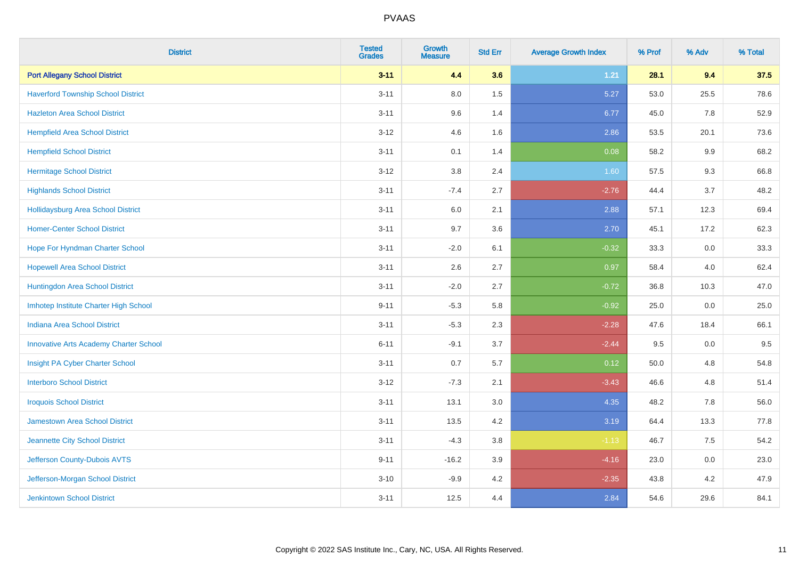| <b>District</b>                               | <b>Tested</b><br><b>Grades</b> | <b>Growth</b><br><b>Measure</b> | <b>Std Err</b> | <b>Average Growth Index</b> | % Prof | % Adv   | % Total |
|-----------------------------------------------|--------------------------------|---------------------------------|----------------|-----------------------------|--------|---------|---------|
| <b>Port Allegany School District</b>          | $3 - 11$                       | 4.4                             | 3.6            | $1.21$                      | 28.1   | 9.4     | 37.5    |
| <b>Haverford Township School District</b>     | $3 - 11$                       | $8.0\,$                         | 1.5            | 5.27                        | 53.0   | 25.5    | 78.6    |
| <b>Hazleton Area School District</b>          | $3 - 11$                       | 9.6                             | 1.4            | 6.77                        | 45.0   | 7.8     | 52.9    |
| <b>Hempfield Area School District</b>         | $3-12$                         | 4.6                             | 1.6            | 2.86                        | 53.5   | 20.1    | 73.6    |
| <b>Hempfield School District</b>              | $3 - 11$                       | 0.1                             | 1.4            | 0.08                        | 58.2   | 9.9     | 68.2    |
| <b>Hermitage School District</b>              | $3 - 12$                       | 3.8                             | 2.4            | 1.60                        | 57.5   | 9.3     | 66.8    |
| <b>Highlands School District</b>              | $3 - 11$                       | $-7.4$                          | 2.7            | $-2.76$                     | 44.4   | 3.7     | 48.2    |
| Hollidaysburg Area School District            | $3 - 11$                       | 6.0                             | 2.1            | 2.88                        | 57.1   | 12.3    | 69.4    |
| <b>Homer-Center School District</b>           | $3 - 11$                       | 9.7                             | 3.6            | 2.70                        | 45.1   | 17.2    | 62.3    |
| Hope For Hyndman Charter School               | $3 - 11$                       | $-2.0$                          | 6.1            | $-0.32$                     | 33.3   | 0.0     | 33.3    |
| <b>Hopewell Area School District</b>          | $3 - 11$                       | 2.6                             | 2.7            | 0.97                        | 58.4   | 4.0     | 62.4    |
| Huntingdon Area School District               | $3 - 11$                       | $-2.0$                          | 2.7            | $-0.72$                     | 36.8   | 10.3    | 47.0    |
| Imhotep Institute Charter High School         | $9 - 11$                       | $-5.3$                          | 5.8            | $-0.92$                     | 25.0   | $0.0\,$ | 25.0    |
| Indiana Area School District                  | $3 - 11$                       | $-5.3$                          | 2.3            | $-2.28$                     | 47.6   | 18.4    | 66.1    |
| <b>Innovative Arts Academy Charter School</b> | $6 - 11$                       | $-9.1$                          | 3.7            | $-2.44$                     | 9.5    | $0.0\,$ | 9.5     |
| Insight PA Cyber Charter School               | $3 - 11$                       | 0.7                             | 5.7            | 0.12                        | 50.0   | 4.8     | 54.8    |
| <b>Interboro School District</b>              | $3 - 12$                       | $-7.3$                          | 2.1            | $-3.43$                     | 46.6   | 4.8     | 51.4    |
| <b>Iroquois School District</b>               | $3 - 11$                       | 13.1                            | 3.0            | 4.35                        | 48.2   | 7.8     | 56.0    |
| <b>Jamestown Area School District</b>         | $3 - 11$                       | 13.5                            | 4.2            | 3.19                        | 64.4   | 13.3    | 77.8    |
| Jeannette City School District                | $3 - 11$                       | $-4.3$                          | $3.8\,$        | $-1.13$                     | 46.7   | 7.5     | 54.2    |
| Jefferson County-Dubois AVTS                  | $9 - 11$                       | $-16.2$                         | 3.9            | $-4.16$                     | 23.0   | 0.0     | 23.0    |
| Jefferson-Morgan School District              | $3 - 10$                       | $-9.9$                          | 4.2            | $-2.35$                     | 43.8   | 4.2     | 47.9    |
| <b>Jenkintown School District</b>             | $3 - 11$                       | 12.5                            | 4.4            | 2.84                        | 54.6   | 29.6    | 84.1    |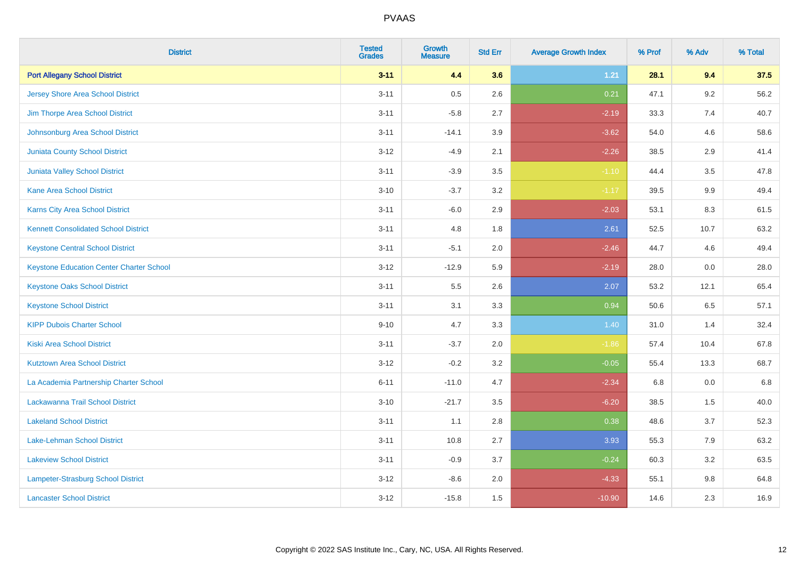| <b>District</b>                                 | <b>Tested</b><br><b>Grades</b> | <b>Growth</b><br><b>Measure</b> | <b>Std Err</b> | <b>Average Growth Index</b> | % Prof | % Adv   | % Total |
|-------------------------------------------------|--------------------------------|---------------------------------|----------------|-----------------------------|--------|---------|---------|
| <b>Port Allegany School District</b>            | $3 - 11$                       | 4.4                             | 3.6            | $1.21$                      | 28.1   | 9.4     | 37.5    |
| <b>Jersey Shore Area School District</b>        | $3 - 11$                       | 0.5                             | 2.6            | 0.21                        | 47.1   | $9.2\,$ | 56.2    |
| Jim Thorpe Area School District                 | $3 - 11$                       | $-5.8$                          | 2.7            | $-2.19$                     | 33.3   | 7.4     | 40.7    |
| Johnsonburg Area School District                | $3 - 11$                       | $-14.1$                         | 3.9            | $-3.62$                     | 54.0   | 4.6     | 58.6    |
| <b>Juniata County School District</b>           | $3 - 12$                       | $-4.9$                          | 2.1            | $-2.26$                     | 38.5   | 2.9     | 41.4    |
| Juniata Valley School District                  | $3 - 11$                       | $-3.9$                          | 3.5            | $-1.10$                     | 44.4   | 3.5     | 47.8    |
| <b>Kane Area School District</b>                | $3 - 10$                       | $-3.7$                          | 3.2            | $-1.17$                     | 39.5   | 9.9     | 49.4    |
| <b>Karns City Area School District</b>          | $3 - 11$                       | $-6.0$                          | 2.9            | $-2.03$                     | 53.1   | 8.3     | 61.5    |
| <b>Kennett Consolidated School District</b>     | $3 - 11$                       | 4.8                             | 1.8            | 2.61                        | 52.5   | 10.7    | 63.2    |
| <b>Keystone Central School District</b>         | $3 - 11$                       | $-5.1$                          | 2.0            | $-2.46$                     | 44.7   | 4.6     | 49.4    |
| <b>Keystone Education Center Charter School</b> | $3 - 12$                       | $-12.9$                         | 5.9            | $-2.19$                     | 28.0   | 0.0     | 28.0    |
| <b>Keystone Oaks School District</b>            | $3 - 11$                       | 5.5                             | 2.6            | 2.07                        | 53.2   | 12.1    | 65.4    |
| <b>Keystone School District</b>                 | $3 - 11$                       | 3.1                             | 3.3            | 0.94                        | 50.6   | $6.5\,$ | 57.1    |
| <b>KIPP Dubois Charter School</b>               | $9 - 10$                       | 4.7                             | 3.3            | 1.40                        | 31.0   | 1.4     | 32.4    |
| <b>Kiski Area School District</b>               | $3 - 11$                       | $-3.7$                          | 2.0            | $-1.86$                     | 57.4   | 10.4    | 67.8    |
| <b>Kutztown Area School District</b>            | $3 - 12$                       | $-0.2$                          | 3.2            | $-0.05$                     | 55.4   | 13.3    | 68.7    |
| La Academia Partnership Charter School          | $6 - 11$                       | $-11.0$                         | 4.7            | $-2.34$                     | 6.8    | 0.0     | 6.8     |
| Lackawanna Trail School District                | $3 - 10$                       | $-21.7$                         | 3.5            | $-6.20$                     | 38.5   | 1.5     | 40.0    |
| <b>Lakeland School District</b>                 | $3 - 11$                       | 1.1                             | 2.8            | 0.38                        | 48.6   | 3.7     | 52.3    |
| Lake-Lehman School District                     | $3 - 11$                       | 10.8                            | 2.7            | 3.93                        | 55.3   | 7.9     | 63.2    |
| <b>Lakeview School District</b>                 | $3 - 11$                       | $-0.9$                          | 3.7            | $-0.24$                     | 60.3   | 3.2     | 63.5    |
| Lampeter-Strasburg School District              | $3 - 12$                       | $-8.6$                          | 2.0            | $-4.33$                     | 55.1   | 9.8     | 64.8    |
| <b>Lancaster School District</b>                | $3 - 12$                       | $-15.8$                         | 1.5            | $-10.90$                    | 14.6   | 2.3     | 16.9    |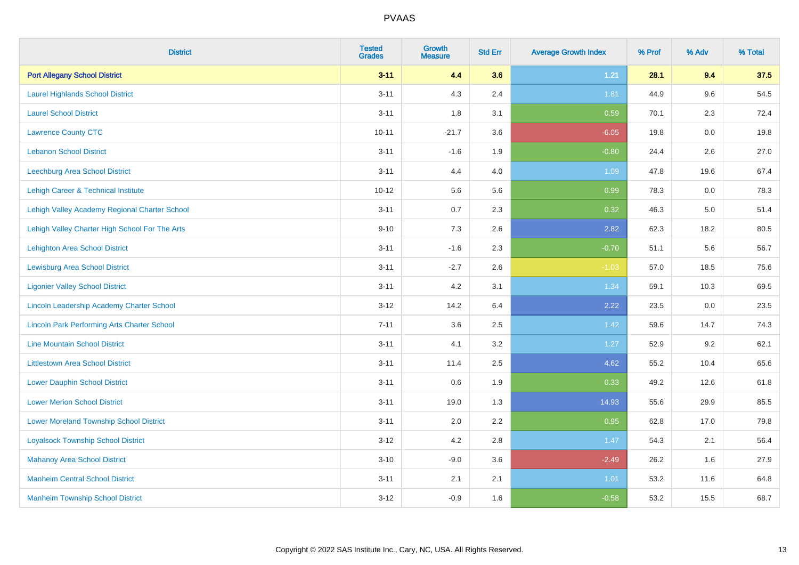| <b>District</b>                                    | <b>Tested</b><br><b>Grades</b> | <b>Growth</b><br><b>Measure</b> | <b>Std Err</b> | <b>Average Growth Index</b> | % Prof | % Adv   | % Total |
|----------------------------------------------------|--------------------------------|---------------------------------|----------------|-----------------------------|--------|---------|---------|
| <b>Port Allegany School District</b>               | $3 - 11$                       | 4.4                             | 3.6            | $1.21$                      | 28.1   | 9.4     | 37.5    |
| <b>Laurel Highlands School District</b>            | $3 - 11$                       | 4.3                             | 2.4            | 1.81                        | 44.9   | 9.6     | 54.5    |
| <b>Laurel School District</b>                      | $3 - 11$                       | 1.8                             | 3.1            | 0.59                        | 70.1   | 2.3     | 72.4    |
| <b>Lawrence County CTC</b>                         | $10 - 11$                      | $-21.7$                         | 3.6            | $-6.05$                     | 19.8   | $0.0\,$ | 19.8    |
| <b>Lebanon School District</b>                     | $3 - 11$                       | $-1.6$                          | 1.9            | $-0.80$                     | 24.4   | 2.6     | 27.0    |
| Leechburg Area School District                     | $3 - 11$                       | 4.4                             | 4.0            | 1.09                        | 47.8   | 19.6    | 67.4    |
| Lehigh Career & Technical Institute                | $10 - 12$                      | 5.6                             | 5.6            | 0.99                        | 78.3   | 0.0     | 78.3    |
| Lehigh Valley Academy Regional Charter School      | $3 - 11$                       | 0.7                             | 2.3            | 0.32                        | 46.3   | 5.0     | 51.4    |
| Lehigh Valley Charter High School For The Arts     | $9 - 10$                       | 7.3                             | 2.6            | 2.82                        | 62.3   | 18.2    | 80.5    |
| Lehighton Area School District                     | $3 - 11$                       | $-1.6$                          | 2.3            | $-0.70$                     | 51.1   | 5.6     | 56.7    |
| <b>Lewisburg Area School District</b>              | $3 - 11$                       | $-2.7$                          | 2.6            | $-1.03$                     | 57.0   | 18.5    | 75.6    |
| <b>Ligonier Valley School District</b>             | $3 - 11$                       | 4.2                             | 3.1            | 1.34                        | 59.1   | 10.3    | 69.5    |
| Lincoln Leadership Academy Charter School          | $3 - 12$                       | 14.2                            | 6.4            | 2.22                        | 23.5   | $0.0\,$ | 23.5    |
| <b>Lincoln Park Performing Arts Charter School</b> | $7 - 11$                       | 3.6                             | 2.5            | 1.42                        | 59.6   | 14.7    | 74.3    |
| <b>Line Mountain School District</b>               | $3 - 11$                       | 4.1                             | 3.2            | 1.27                        | 52.9   | 9.2     | 62.1    |
| <b>Littlestown Area School District</b>            | $3 - 11$                       | 11.4                            | 2.5            | 4.62                        | 55.2   | 10.4    | 65.6    |
| <b>Lower Dauphin School District</b>               | $3 - 11$                       | 0.6                             | 1.9            | 0.33                        | 49.2   | 12.6    | 61.8    |
| <b>Lower Merion School District</b>                | $3 - 11$                       | 19.0                            | 1.3            | 14.93                       | 55.6   | 29.9    | 85.5    |
| <b>Lower Moreland Township School District</b>     | $3 - 11$                       | 2.0                             | 2.2            | 0.95                        | 62.8   | 17.0    | 79.8    |
| <b>Loyalsock Township School District</b>          | $3 - 12$                       | 4.2                             | 2.8            | 1.47                        | 54.3   | 2.1     | 56.4    |
| <b>Mahanoy Area School District</b>                | $3 - 10$                       | $-9.0$                          | 3.6            | $-2.49$                     | 26.2   | 1.6     | 27.9    |
| <b>Manheim Central School District</b>             | $3 - 11$                       | 2.1                             | 2.1            | 1.01                        | 53.2   | 11.6    | 64.8    |
| <b>Manheim Township School District</b>            | $3 - 12$                       | $-0.9$                          | 1.6            | $-0.58$                     | 53.2   | 15.5    | 68.7    |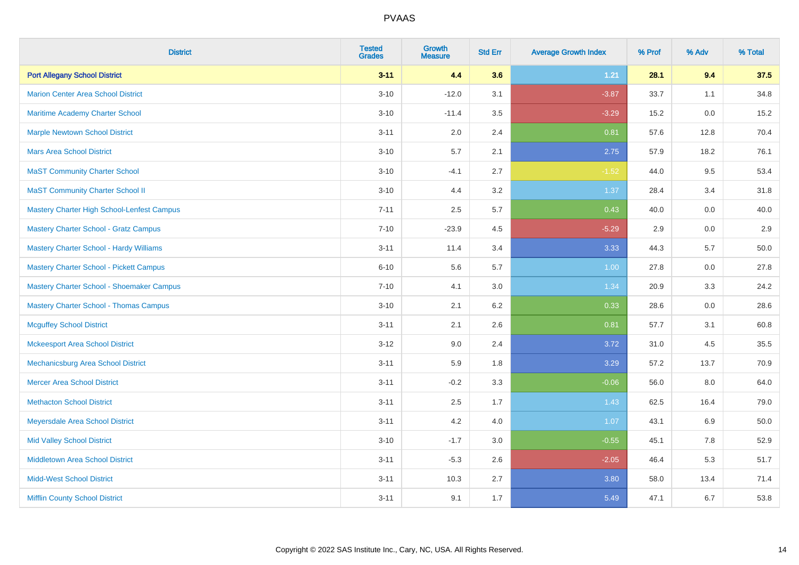| <b>District</b>                                   | <b>Tested</b><br><b>Grades</b> | Growth<br><b>Measure</b> | <b>Std Err</b> | <b>Average Growth Index</b> | % Prof | % Adv | % Total |
|---------------------------------------------------|--------------------------------|--------------------------|----------------|-----------------------------|--------|-------|---------|
| <b>Port Allegany School District</b>              | $3 - 11$                       | 4.4                      | 3.6            | 1.21                        | 28.1   | 9.4   | 37.5    |
| <b>Marion Center Area School District</b>         | $3 - 10$                       | $-12.0$                  | 3.1            | $-3.87$                     | 33.7   | 1.1   | 34.8    |
| Maritime Academy Charter School                   | $3 - 10$                       | $-11.4$                  | 3.5            | $-3.29$                     | 15.2   | 0.0   | 15.2    |
| <b>Marple Newtown School District</b>             | $3 - 11$                       | 2.0                      | 2.4            | 0.81                        | 57.6   | 12.8  | 70.4    |
| <b>Mars Area School District</b>                  | $3 - 10$                       | 5.7                      | 2.1            | 2.75                        | 57.9   | 18.2  | 76.1    |
| <b>MaST Community Charter School</b>              | $3 - 10$                       | $-4.1$                   | 2.7            | $-1.52$                     | 44.0   | 9.5   | 53.4    |
| <b>MaST Community Charter School II</b>           | $3 - 10$                       | 4.4                      | 3.2            | 1.37                        | 28.4   | 3.4   | 31.8    |
| <b>Mastery Charter High School-Lenfest Campus</b> | $7 - 11$                       | 2.5                      | 5.7            | 0.43                        | 40.0   | 0.0   | 40.0    |
| <b>Mastery Charter School - Gratz Campus</b>      | $7 - 10$                       | $-23.9$                  | 4.5            | $-5.29$                     | 2.9    | 0.0   | 2.9     |
| Mastery Charter School - Hardy Williams           | $3 - 11$                       | 11.4                     | 3.4            | 3.33                        | 44.3   | 5.7   | 50.0    |
| Mastery Charter School - Pickett Campus           | $6 - 10$                       | 5.6                      | 5.7            | 1.00                        | 27.8   | 0.0   | 27.8    |
| Mastery Charter School - Shoemaker Campus         | $7 - 10$                       | 4.1                      | 3.0            | 1.34                        | 20.9   | 3.3   | 24.2    |
| <b>Mastery Charter School - Thomas Campus</b>     | $3 - 10$                       | 2.1                      | 6.2            | 0.33                        | 28.6   | 0.0   | 28.6    |
| <b>Mcguffey School District</b>                   | $3 - 11$                       | 2.1                      | 2.6            | 0.81                        | 57.7   | 3.1   | 60.8    |
| <b>Mckeesport Area School District</b>            | $3 - 12$                       | 9.0                      | 2.4            | 3.72                        | 31.0   | 4.5   | 35.5    |
| <b>Mechanicsburg Area School District</b>         | $3 - 11$                       | 5.9                      | 1.8            | 3.29                        | 57.2   | 13.7  | 70.9    |
| <b>Mercer Area School District</b>                | $3 - 11$                       | $-0.2$                   | 3.3            | $-0.06$                     | 56.0   | 8.0   | 64.0    |
| <b>Methacton School District</b>                  | $3 - 11$                       | 2.5                      | 1.7            | 1.43                        | 62.5   | 16.4  | 79.0    |
| <b>Meyersdale Area School District</b>            | $3 - 11$                       | 4.2                      | 4.0            | 1.07                        | 43.1   | 6.9   | 50.0    |
| <b>Mid Valley School District</b>                 | $3 - 10$                       | $-1.7$                   | 3.0            | $-0.55$                     | 45.1   | 7.8   | 52.9    |
| <b>Middletown Area School District</b>            | $3 - 11$                       | $-5.3$                   | 2.6            | $-2.05$                     | 46.4   | 5.3   | 51.7    |
| <b>Midd-West School District</b>                  | $3 - 11$                       | 10.3                     | 2.7            | 3.80                        | 58.0   | 13.4  | 71.4    |
| <b>Mifflin County School District</b>             | $3 - 11$                       | 9.1                      | 1.7            | 5.49                        | 47.1   | 6.7   | 53.8    |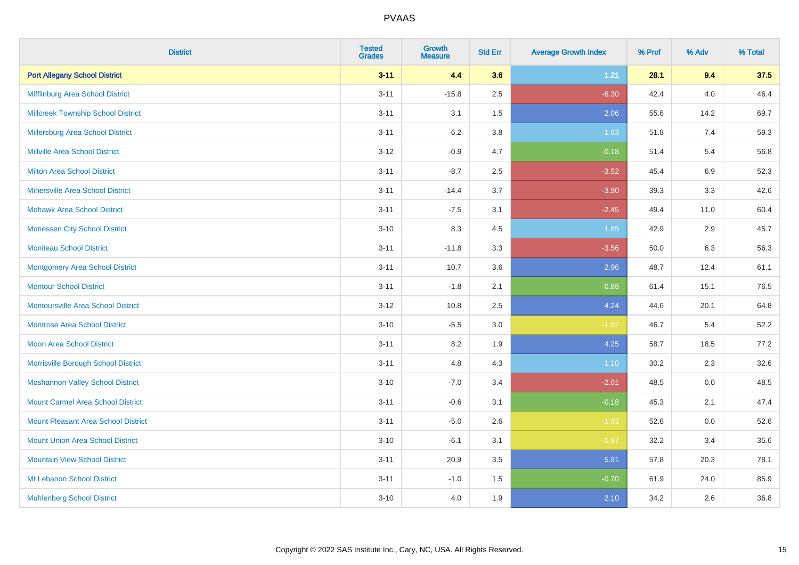| <b>District</b>                            | <b>Tested</b><br><b>Grades</b> | Growth<br><b>Measure</b> | <b>Std Err</b> | <b>Average Growth Index</b> | % Prof | % Adv   | % Total |
|--------------------------------------------|--------------------------------|--------------------------|----------------|-----------------------------|--------|---------|---------|
| <b>Port Allegany School District</b>       | $3 - 11$                       | 4.4                      | 3.6            | 1.21                        | 28.1   | 9.4     | 37.5    |
| Mifflinburg Area School District           | $3 - 11$                       | $-15.8$                  | 2.5            | $-6.30$                     | 42.4   | 4.0     | 46.4    |
| <b>Millcreek Township School District</b>  | $3 - 11$                       | 3.1                      | 1.5            | 2.06                        | 55.6   | 14.2    | 69.7    |
| Millersburg Area School District           | $3 - 11$                       | 6.2                      | 3.8            | 1.63                        | 51.8   | 7.4     | 59.3    |
| <b>Millville Area School District</b>      | $3 - 12$                       | $-0.9$                   | 4.7            | $-0.18$                     | 51.4   | 5.4     | 56.8    |
| <b>Milton Area School District</b>         | $3 - 11$                       | $-8.7$                   | 2.5            | $-3.52$                     | 45.4   | $6.9\,$ | 52.3    |
| <b>Minersville Area School District</b>    | $3 - 11$                       | $-14.4$                  | 3.7            | $-3.90$                     | 39.3   | 3.3     | 42.6    |
| <b>Mohawk Area School District</b>         | $3 - 11$                       | $-7.5$                   | 3.1            | $-2.45$                     | 49.4   | 11.0    | 60.4    |
| <b>Monessen City School District</b>       | $3 - 10$                       | 8.3                      | 4.5            | 1.85                        | 42.9   | 2.9     | 45.7    |
| <b>Moniteau School District</b>            | $3 - 11$                       | $-11.8$                  | 3.3            | $-3.56$                     | 50.0   | 6.3     | 56.3    |
| <b>Montgomery Area School District</b>     | $3 - 11$                       | 10.7                     | 3.6            | 2.96                        | 48.7   | 12.4    | 61.1    |
| <b>Montour School District</b>             | $3 - 11$                       | $-1.8$                   | 2.1            | $-0.88$                     | 61.4   | 15.1    | 76.5    |
| Montoursville Area School District         | $3 - 12$                       | 10.8                     | 2.5            | 4.24                        | 44.6   | 20.1    | 64.8    |
| <b>Montrose Area School District</b>       | $3 - 10$                       | $-5.5$                   | 3.0            | $-1.82$                     | 46.7   | 5.4     | 52.2    |
| <b>Moon Area School District</b>           | $3 - 11$                       | 8.2                      | 1.9            | 4.25                        | 58.7   | 18.5    | 77.2    |
| Morrisville Borough School District        | $3 - 11$                       | 4.8                      | 4.3            | 1.10                        | 30.2   | 2.3     | 32.6    |
| <b>Moshannon Valley School District</b>    | $3 - 10$                       | $-7.0$                   | 3.4            | $-2.01$                     | 48.5   | 0.0     | 48.5    |
| <b>Mount Carmel Area School District</b>   | $3 - 11$                       | $-0.6$                   | 3.1            | $-0.18$                     | 45.3   | 2.1     | 47.4    |
| <b>Mount Pleasant Area School District</b> | $3 - 11$                       | $-5.0$                   | 2.6            | $-1.93$                     | 52.6   | 0.0     | 52.6    |
| <b>Mount Union Area School District</b>    | $3 - 10$                       | $-6.1$                   | 3.1            | $-1.97$                     | 32.2   | 3.4     | 35.6    |
| <b>Mountain View School District</b>       | $3 - 11$                       | 20.9                     | 3.5            | 5.91                        | 57.8   | 20.3    | 78.1    |
| Mt Lebanon School District                 | $3 - 11$                       | $-1.0$                   | 1.5            | $-0.70$                     | 61.9   | 24.0    | 85.9    |
| <b>Muhlenberg School District</b>          | $3 - 10$                       | 4.0                      | 1.9            | 2.10                        | 34.2   | 2.6     | 36.8    |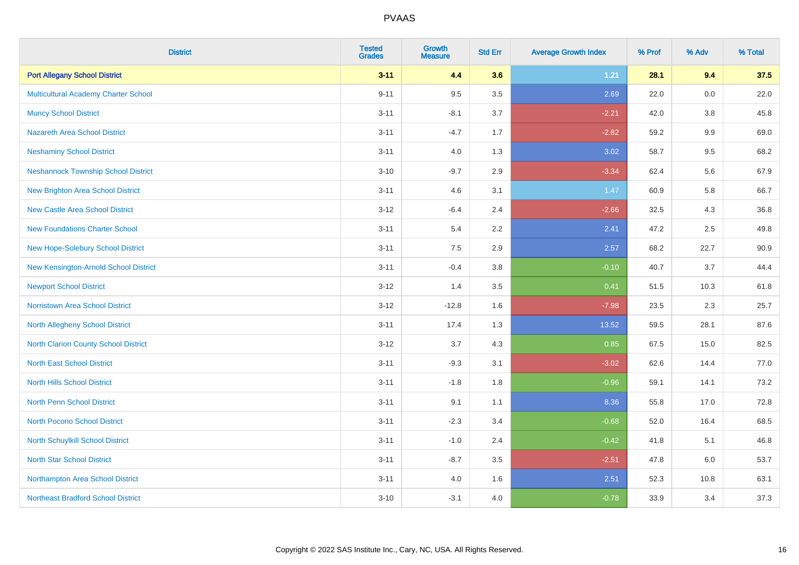| <b>District</b>                             | <b>Tested</b><br><b>Grades</b> | <b>Growth</b><br><b>Measure</b> | <b>Std Err</b> | <b>Average Growth Index</b> | % Prof | % Adv | % Total |
|---------------------------------------------|--------------------------------|---------------------------------|----------------|-----------------------------|--------|-------|---------|
| <b>Port Allegany School District</b>        | $3 - 11$                       | 4.4                             | 3.6            | 1.21                        | 28.1   | 9.4   | 37.5    |
| Multicultural Academy Charter School        | $9 - 11$                       | 9.5                             | 3.5            | 2.69                        | 22.0   | 0.0   | 22.0    |
| <b>Muncy School District</b>                | $3 - 11$                       | $-8.1$                          | 3.7            | $-2.21$                     | 42.0   | 3.8   | 45.8    |
| Nazareth Area School District               | $3 - 11$                       | $-4.7$                          | 1.7            | $-2.82$                     | 59.2   | 9.9   | 69.0    |
| <b>Neshaminy School District</b>            | $3 - 11$                       | 4.0                             | 1.3            | 3.02                        | 58.7   | 9.5   | 68.2    |
| <b>Neshannock Township School District</b>  | $3 - 10$                       | $-9.7$                          | 2.9            | $-3.34$                     | 62.4   | 5.6   | 67.9    |
| <b>New Brighton Area School District</b>    | $3 - 11$                       | 4.6                             | 3.1            | 1.47                        | 60.9   | 5.8   | 66.7    |
| <b>New Castle Area School District</b>      | $3 - 12$                       | $-6.4$                          | 2.4            | $-2.66$                     | 32.5   | 4.3   | 36.8    |
| <b>New Foundations Charter School</b>       | $3 - 11$                       | 5.4                             | $2.2^{\circ}$  | 2.41                        | 47.2   | 2.5   | 49.8    |
| <b>New Hope-Solebury School District</b>    | $3 - 11$                       | 7.5                             | 2.9            | 2.57                        | 68.2   | 22.7  | 90.9    |
| New Kensington-Arnold School District       | $3 - 11$                       | $-0.4$                          | 3.8            | $-0.10$                     | 40.7   | 3.7   | 44.4    |
| <b>Newport School District</b>              | $3 - 12$                       | 1.4                             | 3.5            | 0.41                        | 51.5   | 10.3  | 61.8    |
| Norristown Area School District             | $3 - 12$                       | $-12.8$                         | 1.6            | $-7.98$                     | 23.5   | 2.3   | 25.7    |
| <b>North Allegheny School District</b>      | $3 - 11$                       | 17.4                            | 1.3            | 13.52                       | 59.5   | 28.1  | 87.6    |
| <b>North Clarion County School District</b> | $3 - 12$                       | 3.7                             | 4.3            | 0.85                        | 67.5   | 15.0  | 82.5    |
| <b>North East School District</b>           | $3 - 11$                       | $-9.3$                          | 3.1            | $-3.02$                     | 62.6   | 14.4  | 77.0    |
| <b>North Hills School District</b>          | $3 - 11$                       | $-1.8$                          | 1.8            | $-0.96$                     | 59.1   | 14.1  | 73.2    |
| <b>North Penn School District</b>           | $3 - 11$                       | 9.1                             | 1.1            | 8.36                        | 55.8   | 17.0  | 72.8    |
| <b>North Pocono School District</b>         | $3 - 11$                       | $-2.3$                          | 3.4            | $-0.68$                     | 52.0   | 16.4  | 68.5    |
| <b>North Schuylkill School District</b>     | $3 - 11$                       | $-1.0$                          | 2.4            | $-0.42$                     | 41.8   | 5.1   | 46.8    |
| <b>North Star School District</b>           | $3 - 11$                       | $-8.7$                          | 3.5            | $-2.51$                     | 47.8   | 6.0   | 53.7    |
| Northampton Area School District            | $3 - 11$                       | 4.0                             | 1.6            | 2.51                        | 52.3   | 10.8  | 63.1    |
| <b>Northeast Bradford School District</b>   | $3 - 10$                       | $-3.1$                          | 4.0            | $-0.78$                     | 33.9   | 3.4   | 37.3    |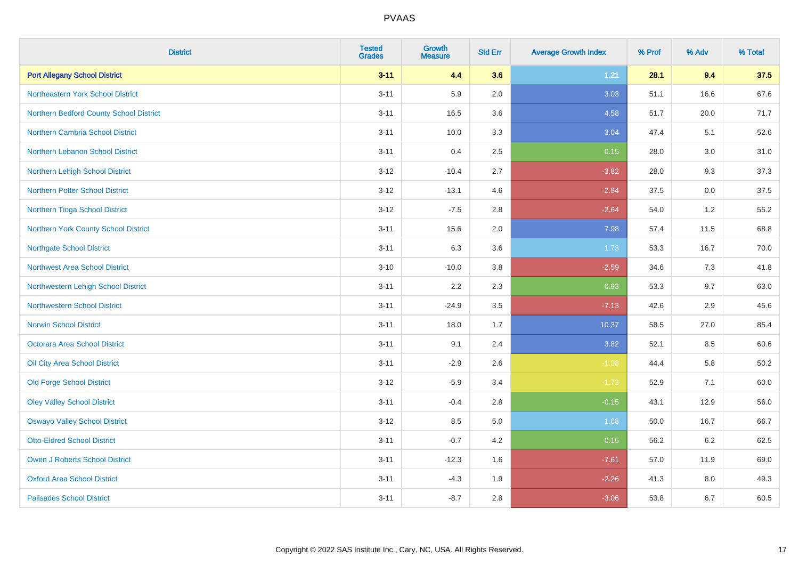| <b>District</b>                         | <b>Tested</b><br><b>Grades</b> | <b>Growth</b><br><b>Measure</b> | <b>Std Err</b> | <b>Average Growth Index</b> | % Prof | % Adv | % Total |
|-----------------------------------------|--------------------------------|---------------------------------|----------------|-----------------------------|--------|-------|---------|
| <b>Port Allegany School District</b>    | $3 - 11$                       | 4.4                             | 3.6            | $1.21$                      | 28.1   | 9.4   | 37.5    |
| Northeastern York School District       | $3 - 11$                       | 5.9                             | 2.0            | 3.03                        | 51.1   | 16.6  | 67.6    |
| Northern Bedford County School District | $3 - 11$                       | 16.5                            | 3.6            | 4.58                        | 51.7   | 20.0  | 71.7    |
| Northern Cambria School District        | $3 - 11$                       | 10.0                            | 3.3            | 3.04                        | 47.4   | 5.1   | 52.6    |
| Northern Lebanon School District        | $3 - 11$                       | 0.4                             | 2.5            | 0.15                        | 28.0   | 3.0   | 31.0    |
| Northern Lehigh School District         | $3 - 12$                       | $-10.4$                         | 2.7            | $-3.82$                     | 28.0   | 9.3   | 37.3    |
| <b>Northern Potter School District</b>  | $3 - 12$                       | $-13.1$                         | 4.6            | $-2.84$                     | 37.5   | 0.0   | 37.5    |
| Northern Tioga School District          | $3 - 12$                       | $-7.5$                          | 2.8            | $-2.64$                     | 54.0   | 1.2   | 55.2    |
| Northern York County School District    | $3 - 11$                       | 15.6                            | 2.0            | 7.98                        | 57.4   | 11.5  | 68.8    |
| Northgate School District               | $3 - 11$                       | 6.3                             | 3.6            | 1.73                        | 53.3   | 16.7  | 70.0    |
| Northwest Area School District          | $3 - 10$                       | $-10.0$                         | 3.8            | $-2.59$                     | 34.6   | 7.3   | 41.8    |
| Northwestern Lehigh School District     | $3 - 11$                       | 2.2                             | 2.3            | 0.93                        | 53.3   | 9.7   | 63.0    |
| Northwestern School District            | $3 - 11$                       | $-24.9$                         | 3.5            | $-7.13$                     | 42.6   | 2.9   | 45.6    |
| <b>Norwin School District</b>           | $3 - 11$                       | 18.0                            | 1.7            | 10.37                       | 58.5   | 27.0  | 85.4    |
| Octorara Area School District           | $3 - 11$                       | 9.1                             | 2.4            | 3.82                        | 52.1   | 8.5   | 60.6    |
| Oil City Area School District           | $3 - 11$                       | $-2.9$                          | 2.6            | $-1.08$                     | 44.4   | 5.8   | 50.2    |
| <b>Old Forge School District</b>        | $3 - 12$                       | $-5.9$                          | 3.4            | $-1.73$                     | 52.9   | 7.1   | 60.0    |
| <b>Oley Valley School District</b>      | $3 - 11$                       | $-0.4$                          | 2.8            | $-0.15$                     | 43.1   | 12.9  | 56.0    |
| <b>Oswayo Valley School District</b>    | $3 - 12$                       | 8.5                             | 5.0            | 1.68                        | 50.0   | 16.7  | 66.7    |
| <b>Otto-Eldred School District</b>      | $3 - 11$                       | $-0.7$                          | 4.2            | $-0.15$                     | 56.2   | 6.2   | 62.5    |
| <b>Owen J Roberts School District</b>   | $3 - 11$                       | $-12.3$                         | 1.6            | $-7.61$                     | 57.0   | 11.9  | 69.0    |
| <b>Oxford Area School District</b>      | $3 - 11$                       | $-4.3$                          | 1.9            | $-2.26$                     | 41.3   | 8.0   | 49.3    |
| <b>Palisades School District</b>        | $3 - 11$                       | $-8.7$                          | 2.8            | $-3.06$                     | 53.8   | 6.7   | 60.5    |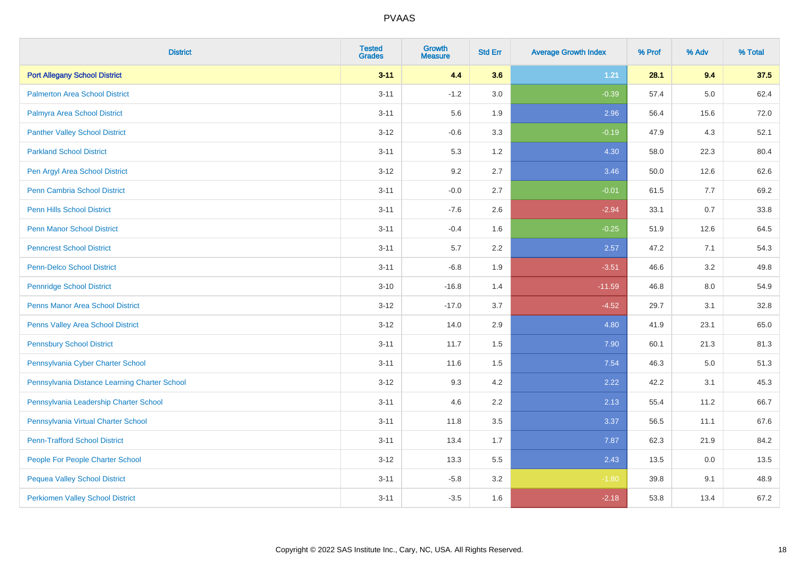| <b>District</b>                               | <b>Tested</b><br><b>Grades</b> | <b>Growth</b><br><b>Measure</b> | <b>Std Err</b> | <b>Average Growth Index</b> | % Prof | % Adv   | % Total |
|-----------------------------------------------|--------------------------------|---------------------------------|----------------|-----------------------------|--------|---------|---------|
| <b>Port Allegany School District</b>          | $3 - 11$                       | 4.4                             | 3.6            | 1.21                        | 28.1   | 9.4     | 37.5    |
| <b>Palmerton Area School District</b>         | $3 - 11$                       | $-1.2$                          | 3.0            | $-0.39$                     | 57.4   | $5.0\,$ | 62.4    |
| Palmyra Area School District                  | $3 - 11$                       | 5.6                             | 1.9            | 2.96                        | 56.4   | 15.6    | 72.0    |
| <b>Panther Valley School District</b>         | $3-12$                         | $-0.6$                          | 3.3            | $-0.19$                     | 47.9   | 4.3     | 52.1    |
| <b>Parkland School District</b>               | $3 - 11$                       | 5.3                             | 1.2            | 4.30                        | 58.0   | 22.3    | 80.4    |
| Pen Argyl Area School District                | $3 - 12$                       | 9.2                             | 2.7            | 3.46                        | 50.0   | 12.6    | 62.6    |
| Penn Cambria School District                  | $3 - 11$                       | $-0.0$                          | 2.7            | $-0.01$                     | 61.5   | 7.7     | 69.2    |
| <b>Penn Hills School District</b>             | $3 - 11$                       | $-7.6$                          | 2.6            | $-2.94$                     | 33.1   | 0.7     | 33.8    |
| <b>Penn Manor School District</b>             | $3 - 11$                       | $-0.4$                          | 1.6            | $-0.25$                     | 51.9   | 12.6    | 64.5    |
| <b>Penncrest School District</b>              | $3 - 11$                       | 5.7                             | 2.2            | 2.57                        | 47.2   | 7.1     | 54.3    |
| <b>Penn-Delco School District</b>             | $3 - 11$                       | $-6.8$                          | 1.9            | $-3.51$                     | 46.6   | 3.2     | 49.8    |
| <b>Pennridge School District</b>              | $3 - 10$                       | $-16.8$                         | 1.4            | $-11.59$                    | 46.8   | $8.0\,$ | 54.9    |
| Penns Manor Area School District              | $3-12$                         | $-17.0$                         | 3.7            | $-4.52$                     | 29.7   | 3.1     | 32.8    |
| Penns Valley Area School District             | $3 - 12$                       | 14.0                            | 2.9            | 4.80                        | 41.9   | 23.1    | 65.0    |
| <b>Pennsbury School District</b>              | $3 - 11$                       | 11.7                            | 1.5            | 7.90                        | 60.1   | 21.3    | 81.3    |
| Pennsylvania Cyber Charter School             | $3 - 11$                       | 11.6                            | 1.5            | 7.54                        | 46.3   | 5.0     | 51.3    |
| Pennsylvania Distance Learning Charter School | $3 - 12$                       | 9.3                             | 4.2            | 2.22                        | 42.2   | 3.1     | 45.3    |
| Pennsylvania Leadership Charter School        | $3 - 11$                       | 4.6                             | 2.2            | 2.13                        | 55.4   | 11.2    | 66.7    |
| Pennsylvania Virtual Charter School           | $3 - 11$                       | 11.8                            | 3.5            | 3.37                        | 56.5   | 11.1    | 67.6    |
| <b>Penn-Trafford School District</b>          | $3 - 11$                       | 13.4                            | 1.7            | 7.87                        | 62.3   | 21.9    | 84.2    |
| People For People Charter School              | $3 - 12$                       | 13.3                            | 5.5            | 2.43                        | 13.5   | 0.0     | 13.5    |
| <b>Pequea Valley School District</b>          | $3 - 11$                       | $-5.8$                          | 3.2            | $-1.80$                     | 39.8   | 9.1     | 48.9    |
| <b>Perkiomen Valley School District</b>       | $3 - 11$                       | $-3.5$                          | 1.6            | $-2.18$                     | 53.8   | 13.4    | 67.2    |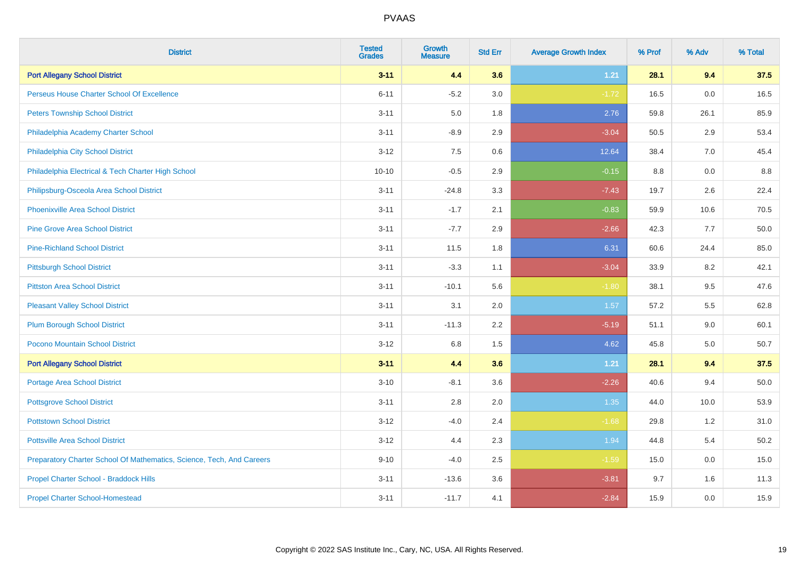| <b>District</b>                                                       | <b>Tested</b><br><b>Grades</b> | <b>Growth</b><br><b>Measure</b> | <b>Std Err</b> | <b>Average Growth Index</b> | % Prof | % Adv | % Total |
|-----------------------------------------------------------------------|--------------------------------|---------------------------------|----------------|-----------------------------|--------|-------|---------|
| <b>Port Allegany School District</b>                                  | $3 - 11$                       | 4.4                             | 3.6            | $1.21$                      | 28.1   | 9.4   | 37.5    |
| Perseus House Charter School Of Excellence                            | $6 - 11$                       | $-5.2$                          | 3.0            | $-1.72$                     | 16.5   | 0.0   | 16.5    |
| <b>Peters Township School District</b>                                | $3 - 11$                       | 5.0                             | 1.8            | 2.76                        | 59.8   | 26.1  | 85.9    |
| Philadelphia Academy Charter School                                   | $3 - 11$                       | $-8.9$                          | 2.9            | $-3.04$                     | 50.5   | 2.9   | 53.4    |
| Philadelphia City School District                                     | $3 - 12$                       | 7.5                             | 0.6            | 12.64                       | 38.4   | 7.0   | 45.4    |
| Philadelphia Electrical & Tech Charter High School                    | $10 - 10$                      | $-0.5$                          | 2.9            | $-0.15$                     | 8.8    | 0.0   | 8.8     |
| Philipsburg-Osceola Area School District                              | $3 - 11$                       | $-24.8$                         | 3.3            | $-7.43$                     | 19.7   | 2.6   | 22.4    |
| <b>Phoenixville Area School District</b>                              | $3 - 11$                       | $-1.7$                          | 2.1            | $-0.83$                     | 59.9   | 10.6  | 70.5    |
| <b>Pine Grove Area School District</b>                                | $3 - 11$                       | $-7.7$                          | 2.9            | $-2.66$                     | 42.3   | 7.7   | 50.0    |
| <b>Pine-Richland School District</b>                                  | $3 - 11$                       | 11.5                            | 1.8            | 6.31                        | 60.6   | 24.4  | 85.0    |
| <b>Pittsburgh School District</b>                                     | $3 - 11$                       | $-3.3$                          | 1.1            | $-3.04$                     | 33.9   | 8.2   | 42.1    |
| <b>Pittston Area School District</b>                                  | $3 - 11$                       | $-10.1$                         | 5.6            | $-1.80$                     | 38.1   | 9.5   | 47.6    |
| <b>Pleasant Valley School District</b>                                | $3 - 11$                       | 3.1                             | 2.0            | 1.57                        | 57.2   | 5.5   | 62.8    |
| <b>Plum Borough School District</b>                                   | $3 - 11$                       | $-11.3$                         | 2.2            | $-5.19$                     | 51.1   | 9.0   | 60.1    |
| Pocono Mountain School District                                       | $3 - 12$                       | 6.8                             | 1.5            | 4.62                        | 45.8   | 5.0   | 50.7    |
| <b>Port Allegany School District</b>                                  | $3 - 11$                       | 4.4                             | 3.6            | $1.21$                      | 28.1   | 9.4   | 37.5    |
| <b>Portage Area School District</b>                                   | $3 - 10$                       | $-8.1$                          | 3.6            | $-2.26$                     | 40.6   | 9.4   | 50.0    |
| <b>Pottsgrove School District</b>                                     | $3 - 11$                       | 2.8                             | 2.0            | 1.35                        | 44.0   | 10.0  | 53.9    |
| <b>Pottstown School District</b>                                      | $3 - 12$                       | $-4.0$                          | 2.4            | $-1.68$                     | 29.8   | 1.2   | 31.0    |
| <b>Pottsville Area School District</b>                                | $3 - 12$                       | 4.4                             | 2.3            | 1.94                        | 44.8   | 5.4   | 50.2    |
| Preparatory Charter School Of Mathematics, Science, Tech, And Careers | $9 - 10$                       | $-4.0$                          | 2.5            | $-1.59$                     | 15.0   | 0.0   | 15.0    |
| Propel Charter School - Braddock Hills                                | $3 - 11$                       | $-13.6$                         | 3.6            | $-3.81$                     | 9.7    | 1.6   | 11.3    |
| <b>Propel Charter School-Homestead</b>                                | $3 - 11$                       | $-11.7$                         | 4.1            | $-2.84$                     | 15.9   | 0.0   | 15.9    |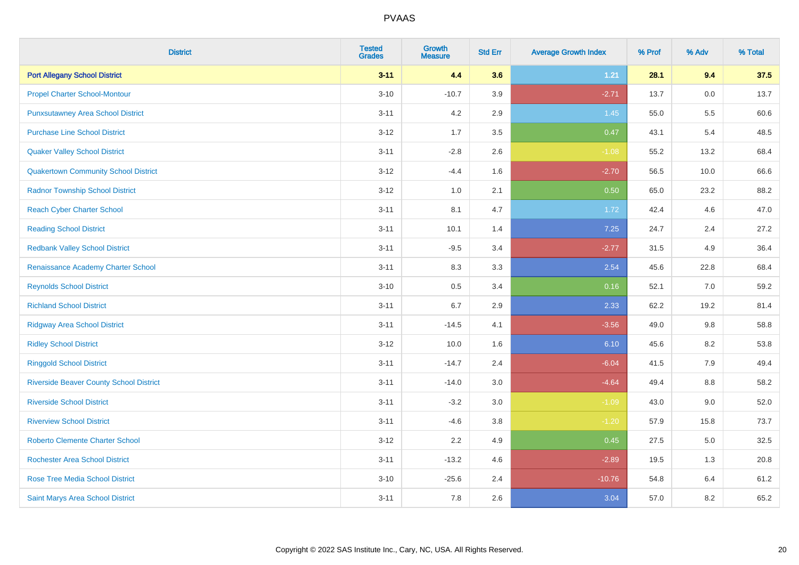| <b>District</b>                                | <b>Tested</b><br><b>Grades</b> | <b>Growth</b><br><b>Measure</b> | <b>Std Err</b> | <b>Average Growth Index</b> | % Prof | % Adv   | % Total |
|------------------------------------------------|--------------------------------|---------------------------------|----------------|-----------------------------|--------|---------|---------|
| <b>Port Allegany School District</b>           | $3 - 11$                       | 4.4                             | 3.6            | $1.21$                      | 28.1   | 9.4     | 37.5    |
| <b>Propel Charter School-Montour</b>           | $3 - 10$                       | $-10.7$                         | 3.9            | $-2.71$                     | 13.7   | 0.0     | 13.7    |
| <b>Punxsutawney Area School District</b>       | $3 - 11$                       | 4.2                             | 2.9            | 1.45                        | 55.0   | 5.5     | 60.6    |
| <b>Purchase Line School District</b>           | $3 - 12$                       | 1.7                             | 3.5            | 0.47                        | 43.1   | 5.4     | 48.5    |
| <b>Quaker Valley School District</b>           | $3 - 11$                       | $-2.8$                          | 2.6            | $-1.08$                     | 55.2   | 13.2    | 68.4    |
| <b>Quakertown Community School District</b>    | $3 - 12$                       | $-4.4$                          | 1.6            | $-2.70$                     | 56.5   | 10.0    | 66.6    |
| <b>Radnor Township School District</b>         | $3 - 12$                       | 1.0                             | 2.1            | 0.50                        | 65.0   | 23.2    | 88.2    |
| <b>Reach Cyber Charter School</b>              | $3 - 11$                       | 8.1                             | 4.7            | 1.72                        | 42.4   | 4.6     | 47.0    |
| <b>Reading School District</b>                 | $3 - 11$                       | 10.1                            | 1.4            | 7.25                        | 24.7   | 2.4     | 27.2    |
| <b>Redbank Valley School District</b>          | $3 - 11$                       | $-9.5$                          | 3.4            | $-2.77$                     | 31.5   | 4.9     | 36.4    |
| Renaissance Academy Charter School             | $3 - 11$                       | 8.3                             | 3.3            | 2.54                        | 45.6   | 22.8    | 68.4    |
| <b>Reynolds School District</b>                | $3 - 10$                       | 0.5                             | 3.4            | 0.16                        | 52.1   | 7.0     | 59.2    |
| <b>Richland School District</b>                | $3 - 11$                       | 6.7                             | 2.9            | 2.33                        | 62.2   | 19.2    | 81.4    |
| <b>Ridgway Area School District</b>            | $3 - 11$                       | $-14.5$                         | 4.1            | $-3.56$                     | 49.0   | 9.8     | 58.8    |
| <b>Ridley School District</b>                  | $3 - 12$                       | 10.0                            | 1.6            | 6.10                        | 45.6   | 8.2     | 53.8    |
| <b>Ringgold School District</b>                | $3 - 11$                       | $-14.7$                         | 2.4            | $-6.04$                     | 41.5   | 7.9     | 49.4    |
| <b>Riverside Beaver County School District</b> | $3 - 11$                       | $-14.0$                         | 3.0            | $-4.64$                     | 49.4   | 8.8     | 58.2    |
| <b>Riverside School District</b>               | $3 - 11$                       | $-3.2$                          | 3.0            | $-1.09$                     | 43.0   | 9.0     | 52.0    |
| <b>Riverview School District</b>               | $3 - 11$                       | $-4.6$                          | 3.8            | $-1.20$                     | 57.9   | 15.8    | 73.7    |
| <b>Roberto Clemente Charter School</b>         | $3 - 12$                       | 2.2                             | 4.9            | 0.45                        | 27.5   | $5.0\,$ | 32.5    |
| <b>Rochester Area School District</b>          | $3 - 11$                       | $-13.2$                         | 4.6            | $-2.89$                     | 19.5   | 1.3     | 20.8    |
| <b>Rose Tree Media School District</b>         | $3 - 10$                       | $-25.6$                         | 2.4            | $-10.76$                    | 54.8   | 6.4     | 61.2    |
| Saint Marys Area School District               | $3 - 11$                       | 7.8                             | 2.6            | 3.04                        | 57.0   | 8.2     | 65.2    |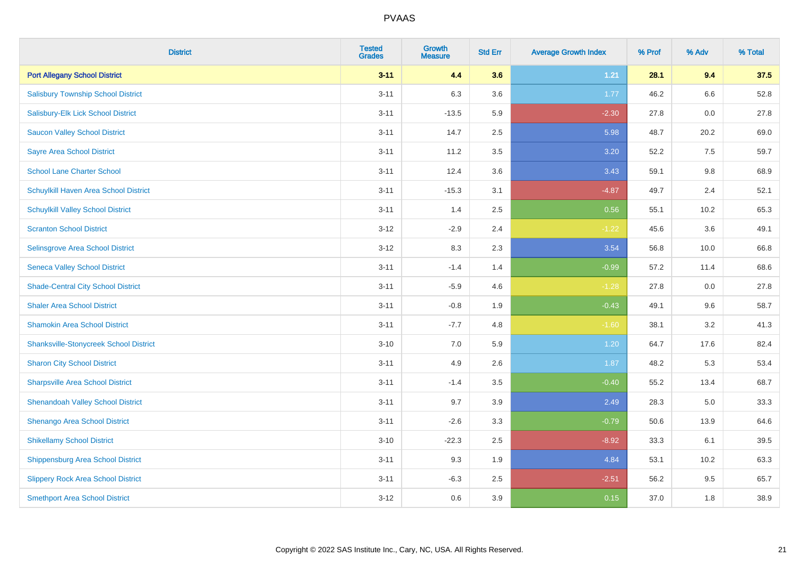| <b>District</b>                               | <b>Tested</b><br><b>Grades</b> | <b>Growth</b><br><b>Measure</b> | <b>Std Err</b> | <b>Average Growth Index</b> | % Prof | % Adv | % Total |
|-----------------------------------------------|--------------------------------|---------------------------------|----------------|-----------------------------|--------|-------|---------|
| <b>Port Allegany School District</b>          | $3 - 11$                       | 4.4                             | 3.6            | 1.21                        | 28.1   | 9.4   | 37.5    |
| <b>Salisbury Township School District</b>     | $3 - 11$                       | 6.3                             | 3.6            | 1.77                        | 46.2   | 6.6   | 52.8    |
| Salisbury-Elk Lick School District            | $3 - 11$                       | $-13.5$                         | 5.9            | $-2.30$                     | 27.8   | 0.0   | 27.8    |
| <b>Saucon Valley School District</b>          | $3 - 11$                       | 14.7                            | 2.5            | 5.98                        | 48.7   | 20.2  | 69.0    |
| <b>Sayre Area School District</b>             | $3 - 11$                       | 11.2                            | 3.5            | 3.20                        | 52.2   | 7.5   | 59.7    |
| <b>School Lane Charter School</b>             | $3 - 11$                       | 12.4                            | 3.6            | 3.43                        | 59.1   | 9.8   | 68.9    |
| Schuylkill Haven Area School District         | $3 - 11$                       | $-15.3$                         | 3.1            | $-4.87$                     | 49.7   | 2.4   | 52.1    |
| <b>Schuylkill Valley School District</b>      | $3 - 11$                       | 1.4                             | 2.5            | 0.56                        | 55.1   | 10.2  | 65.3    |
| <b>Scranton School District</b>               | $3 - 12$                       | $-2.9$                          | 2.4            | $-1.22$                     | 45.6   | 3.6   | 49.1    |
| <b>Selinsgrove Area School District</b>       | $3 - 12$                       | 8.3                             | 2.3            | 3.54                        | 56.8   | 10.0  | 66.8    |
| <b>Seneca Valley School District</b>          | $3 - 11$                       | $-1.4$                          | 1.4            | $-0.99$                     | 57.2   | 11.4  | 68.6    |
| <b>Shade-Central City School District</b>     | $3 - 11$                       | $-5.9$                          | 4.6            | $-1.28$                     | 27.8   | 0.0   | 27.8    |
| <b>Shaler Area School District</b>            | $3 - 11$                       | $-0.8$                          | 1.9            | $-0.43$                     | 49.1   | 9.6   | 58.7    |
| <b>Shamokin Area School District</b>          | $3 - 11$                       | $-7.7$                          | 4.8            | $-1.60$                     | 38.1   | 3.2   | 41.3    |
| <b>Shanksville-Stonycreek School District</b> | $3 - 10$                       | $7.0\,$                         | 5.9            | 1.20                        | 64.7   | 17.6  | 82.4    |
| <b>Sharon City School District</b>            | $3 - 11$                       | 4.9                             | 2.6            | 1.87                        | 48.2   | 5.3   | 53.4    |
| <b>Sharpsville Area School District</b>       | $3 - 11$                       | $-1.4$                          | 3.5            | $-0.40$                     | 55.2   | 13.4  | 68.7    |
| <b>Shenandoah Valley School District</b>      | $3 - 11$                       | 9.7                             | 3.9            | 2.49                        | 28.3   | 5.0   | 33.3    |
| Shenango Area School District                 | $3 - 11$                       | $-2.6$                          | 3.3            | $-0.79$                     | 50.6   | 13.9  | 64.6    |
| <b>Shikellamy School District</b>             | $3 - 10$                       | $-22.3$                         | 2.5            | $-8.92$                     | 33.3   | 6.1   | 39.5    |
| <b>Shippensburg Area School District</b>      | $3 - 11$                       | 9.3                             | 1.9            | 4.84                        | 53.1   | 10.2  | 63.3    |
| <b>Slippery Rock Area School District</b>     | $3 - 11$                       | $-6.3$                          | 2.5            | $-2.51$                     | 56.2   | 9.5   | 65.7    |
| <b>Smethport Area School District</b>         | $3-12$                         | 0.6                             | 3.9            | 0.15                        | 37.0   | 1.8   | 38.9    |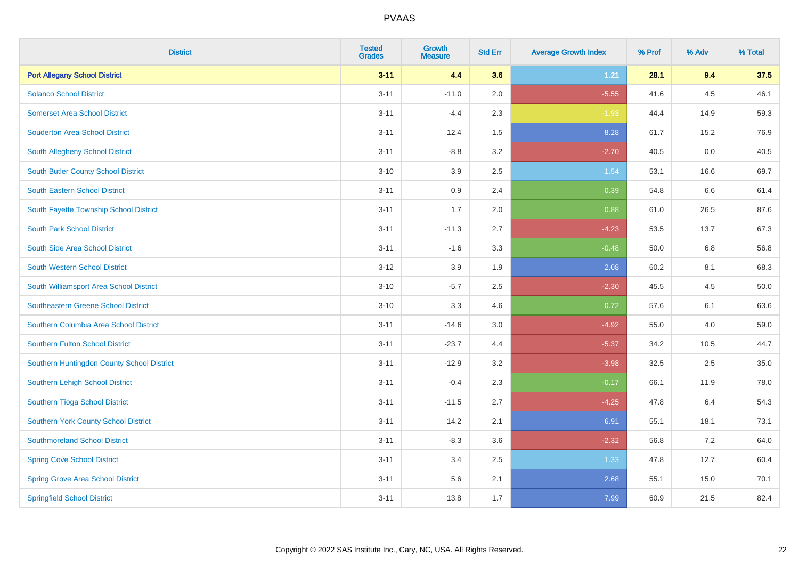| <b>District</b>                            | <b>Tested</b><br><b>Grades</b> | <b>Growth</b><br><b>Measure</b> | <b>Std Err</b> | <b>Average Growth Index</b> | % Prof | % Adv | % Total |
|--------------------------------------------|--------------------------------|---------------------------------|----------------|-----------------------------|--------|-------|---------|
| <b>Port Allegany School District</b>       | $3 - 11$                       | 4.4                             | 3.6            | 1.21                        | 28.1   | 9.4   | 37.5    |
| <b>Solanco School District</b>             | $3 - 11$                       | $-11.0$                         | 2.0            | $-5.55$                     | 41.6   | 4.5   | 46.1    |
| <b>Somerset Area School District</b>       | $3 - 11$                       | $-4.4$                          | 2.3            | $-1.93$                     | 44.4   | 14.9  | 59.3    |
| <b>Souderton Area School District</b>      | $3 - 11$                       | 12.4                            | 1.5            | 8.28                        | 61.7   | 15.2  | 76.9    |
| South Allegheny School District            | $3 - 11$                       | $-8.8$                          | 3.2            | $-2.70$                     | 40.5   | 0.0   | 40.5    |
| South Butler County School District        | $3 - 10$                       | 3.9                             | 2.5            | 1.54                        | 53.1   | 16.6  | 69.7    |
| South Eastern School District              | $3 - 11$                       | 0.9                             | 2.4            | 0.39                        | 54.8   | 6.6   | 61.4    |
| South Fayette Township School District     | $3 - 11$                       | 1.7                             | 2.0            | 0.88                        | 61.0   | 26.5  | 87.6    |
| <b>South Park School District</b>          | $3 - 11$                       | $-11.3$                         | 2.7            | $-4.23$                     | 53.5   | 13.7  | 67.3    |
| South Side Area School District            | $3 - 11$                       | $-1.6$                          | 3.3            | $-0.48$                     | 50.0   | 6.8   | 56.8    |
| South Western School District              | $3 - 12$                       | 3.9                             | 1.9            | 2.08                        | 60.2   | 8.1   | 68.3    |
| South Williamsport Area School District    | $3 - 10$                       | $-5.7$                          | 2.5            | $-2.30$                     | 45.5   | 4.5   | 50.0    |
| <b>Southeastern Greene School District</b> | $3 - 10$                       | 3.3                             | 4.6            | 0.72                        | 57.6   | 6.1   | 63.6    |
| Southern Columbia Area School District     | $3 - 11$                       | $-14.6$                         | $3.0\,$        | $-4.92$                     | 55.0   | 4.0   | 59.0    |
| <b>Southern Fulton School District</b>     | $3 - 11$                       | $-23.7$                         | 4.4            | $-5.37$                     | 34.2   | 10.5  | 44.7    |
| Southern Huntingdon County School District | $3 - 11$                       | $-12.9$                         | 3.2            | $-3.98$                     | 32.5   | 2.5   | 35.0    |
| Southern Lehigh School District            | $3 - 11$                       | $-0.4$                          | 2.3            | $-0.17$                     | 66.1   | 11.9  | 78.0    |
| Southern Tioga School District             | $3 - 11$                       | $-11.5$                         | 2.7            | $-4.25$                     | 47.8   | 6.4   | 54.3    |
| Southern York County School District       | $3 - 11$                       | 14.2                            | 2.1            | 6.91                        | 55.1   | 18.1  | 73.1    |
| <b>Southmoreland School District</b>       | $3 - 11$                       | $-8.3$                          | 3.6            | $-2.32$                     | 56.8   | 7.2   | 64.0    |
| <b>Spring Cove School District</b>         | $3 - 11$                       | 3.4                             | 2.5            | 1.33                        | 47.8   | 12.7  | 60.4    |
| <b>Spring Grove Area School District</b>   | $3 - 11$                       | 5.6                             | 2.1            | 2.68                        | 55.1   | 15.0  | 70.1    |
| <b>Springfield School District</b>         | $3 - 11$                       | 13.8                            | 1.7            | 7.99                        | 60.9   | 21.5  | 82.4    |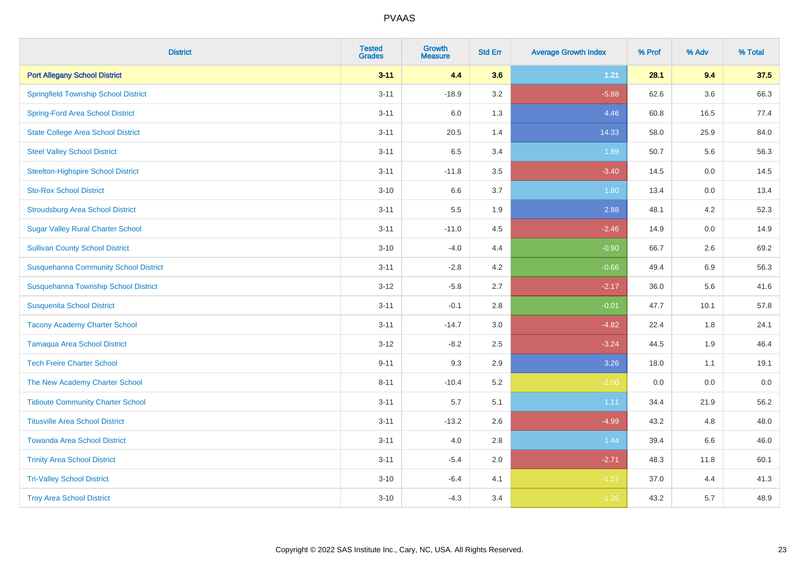| <b>District</b>                              | <b>Tested</b><br><b>Grades</b> | <b>Growth</b><br><b>Measure</b> | <b>Std Err</b> | <b>Average Growth Index</b> | % Prof | % Adv | % Total |
|----------------------------------------------|--------------------------------|---------------------------------|----------------|-----------------------------|--------|-------|---------|
| <b>Port Allegany School District</b>         | $3 - 11$                       | 4.4                             | 3.6            | $1.21$                      | 28.1   | 9.4   | 37.5    |
| <b>Springfield Township School District</b>  | $3 - 11$                       | $-18.9$                         | 3.2            | $-5.88$                     | 62.6   | 3.6   | 66.3    |
| <b>Spring-Ford Area School District</b>      | $3 - 11$                       | 6.0                             | 1.3            | 4.46                        | 60.8   | 16.5  | 77.4    |
| <b>State College Area School District</b>    | $3 - 11$                       | 20.5                            | 1.4            | 14.33                       | 58.0   | 25.9  | 84.0    |
| <b>Steel Valley School District</b>          | $3 - 11$                       | 6.5                             | 3.4            | 1.89                        | 50.7   | 5.6   | 56.3    |
| <b>Steelton-Highspire School District</b>    | $3 - 11$                       | $-11.8$                         | 3.5            | $-3.40$                     | 14.5   | 0.0   | 14.5    |
| <b>Sto-Rox School District</b>               | $3 - 10$                       | 6.6                             | 3.7            | 1.80                        | 13.4   | 0.0   | 13.4    |
| <b>Stroudsburg Area School District</b>      | $3 - 11$                       | 5.5                             | 1.9            | 2.88                        | 48.1   | 4.2   | 52.3    |
| <b>Sugar Valley Rural Charter School</b>     | $3 - 11$                       | $-11.0$                         | 4.5            | $-2.46$                     | 14.9   | 0.0   | 14.9    |
| <b>Sullivan County School District</b>       | $3 - 10$                       | $-4.0$                          | 4.4            | $-0.90$                     | 66.7   | 2.6   | 69.2    |
| <b>Susquehanna Community School District</b> | $3 - 11$                       | $-2.8$                          | 4.2            | $-0.66$                     | 49.4   | 6.9   | 56.3    |
| Susquehanna Township School District         | $3 - 12$                       | $-5.8$                          | 2.7            | $-2.17$                     | 36.0   | 5.6   | 41.6    |
| <b>Susquenita School District</b>            | $3 - 11$                       | $-0.1$                          | 2.8            | $-0.01$                     | 47.7   | 10.1  | 57.8    |
| <b>Tacony Academy Charter School</b>         | $3 - 11$                       | $-14.7$                         | 3.0            | $-4.82$                     | 22.4   | 1.8   | 24.1    |
| <b>Tamaqua Area School District</b>          | $3 - 12$                       | $-8.2$                          | 2.5            | $-3.24$                     | 44.5   | 1.9   | 46.4    |
| <b>Tech Freire Charter School</b>            | $9 - 11$                       | 9.3                             | 2.9            | 3.26                        | 18.0   | 1.1   | 19.1    |
| The New Academy Charter School               | $8 - 11$                       | $-10.4$                         | 5.2            | $-2.00$                     | 0.0    | 0.0   | 0.0     |
| <b>Tidioute Community Charter School</b>     | $3 - 11$                       | 5.7                             | 5.1            | 1.11                        | 34.4   | 21.9  | 56.2    |
| <b>Titusville Area School District</b>       | $3 - 11$                       | $-13.2$                         | 2.6            | $-4.99$                     | 43.2   | 4.8   | 48.0    |
| <b>Towanda Area School District</b>          | $3 - 11$                       | 4.0                             | 2.8            | 1.44                        | 39.4   | 6.6   | 46.0    |
| <b>Trinity Area School District</b>          | $3 - 11$                       | $-5.4$                          | 2.0            | $-2.71$                     | 48.3   | 11.8  | 60.1    |
| <b>Tri-Valley School District</b>            | $3 - 10$                       | $-6.4$                          | 4.1            | $-1.57$                     | 37.0   | 4.4   | 41.3    |
| <b>Troy Area School District</b>             | $3 - 10$                       | $-4.3$                          | 3.4            | $-1.26$                     | 43.2   | 5.7   | 48.9    |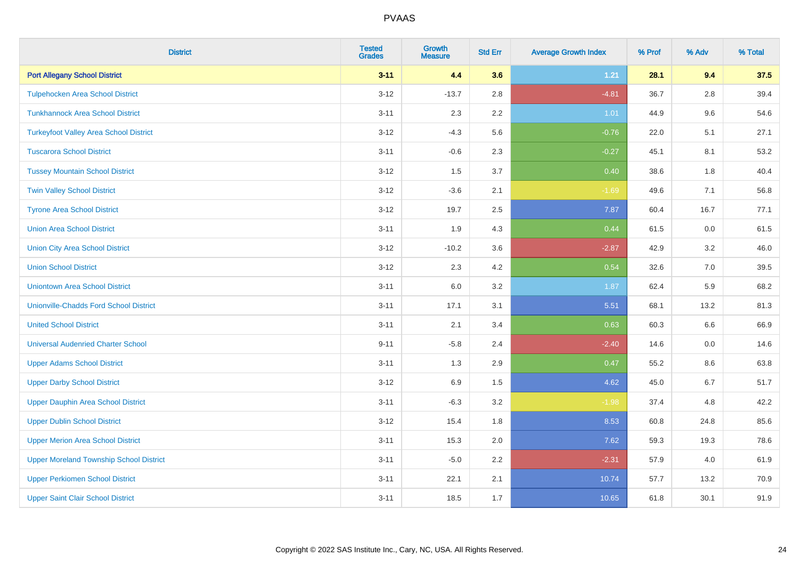| <b>District</b>                                | <b>Tested</b><br><b>Grades</b> | <b>Growth</b><br><b>Measure</b> | <b>Std Err</b> | <b>Average Growth Index</b> | % Prof | % Adv   | % Total |
|------------------------------------------------|--------------------------------|---------------------------------|----------------|-----------------------------|--------|---------|---------|
| <b>Port Allegany School District</b>           | $3 - 11$                       | 4.4                             | 3.6            | $1.21$                      | 28.1   | 9.4     | 37.5    |
| <b>Tulpehocken Area School District</b>        | $3 - 12$                       | $-13.7$                         | 2.8            | $-4.81$                     | 36.7   | $2.8\,$ | 39.4    |
| <b>Tunkhannock Area School District</b>        | $3 - 11$                       | 2.3                             | 2.2            | 1.01                        | 44.9   | 9.6     | 54.6    |
| <b>Turkeyfoot Valley Area School District</b>  | $3 - 12$                       | $-4.3$                          | 5.6            | $-0.76$                     | 22.0   | 5.1     | 27.1    |
| <b>Tuscarora School District</b>               | $3 - 11$                       | $-0.6$                          | 2.3            | $-0.27$                     | 45.1   | 8.1     | 53.2    |
| <b>Tussey Mountain School District</b>         | $3 - 12$                       | 1.5                             | 3.7            | 0.40                        | 38.6   | 1.8     | 40.4    |
| <b>Twin Valley School District</b>             | $3 - 12$                       | $-3.6$                          | 2.1            | $-1.69$                     | 49.6   | 7.1     | 56.8    |
| <b>Tyrone Area School District</b>             | $3 - 12$                       | 19.7                            | 2.5            | 7.87                        | 60.4   | 16.7    | 77.1    |
| <b>Union Area School District</b>              | $3 - 11$                       | 1.9                             | 4.3            | 0.44                        | 61.5   | 0.0     | 61.5    |
| <b>Union City Area School District</b>         | $3 - 12$                       | $-10.2$                         | 3.6            | $-2.87$                     | 42.9   | 3.2     | 46.0    |
| <b>Union School District</b>                   | $3 - 12$                       | 2.3                             | 4.2            | 0.54                        | 32.6   | 7.0     | 39.5    |
| <b>Uniontown Area School District</b>          | $3 - 11$                       | 6.0                             | 3.2            | 1.87                        | 62.4   | 5.9     | 68.2    |
| <b>Unionville-Chadds Ford School District</b>  | $3 - 11$                       | 17.1                            | 3.1            | 5.51                        | 68.1   | 13.2    | 81.3    |
| <b>United School District</b>                  | $3 - 11$                       | 2.1                             | 3.4            | 0.63                        | 60.3   | 6.6     | 66.9    |
| <b>Universal Audenried Charter School</b>      | $9 - 11$                       | $-5.8$                          | 2.4            | $-2.40$                     | 14.6   | 0.0     | 14.6    |
| <b>Upper Adams School District</b>             | $3 - 11$                       | 1.3                             | 2.9            | 0.47                        | 55.2   | $8.6\,$ | 63.8    |
| <b>Upper Darby School District</b>             | $3 - 12$                       | 6.9                             | 1.5            | 4.62                        | 45.0   | 6.7     | 51.7    |
| <b>Upper Dauphin Area School District</b>      | $3 - 11$                       | $-6.3$                          | 3.2            | $-1.98$                     | 37.4   | 4.8     | 42.2    |
| <b>Upper Dublin School District</b>            | $3 - 12$                       | 15.4                            | 1.8            | 8.53                        | 60.8   | 24.8    | 85.6    |
| <b>Upper Merion Area School District</b>       | $3 - 11$                       | 15.3                            | 2.0            | 7.62                        | 59.3   | 19.3    | 78.6    |
| <b>Upper Moreland Township School District</b> | $3 - 11$                       | $-5.0$                          | 2.2            | $-2.31$                     | 57.9   | 4.0     | 61.9    |
| <b>Upper Perkiomen School District</b>         | $3 - 11$                       | 22.1                            | 2.1            | 10.74                       | 57.7   | 13.2    | 70.9    |
| <b>Upper Saint Clair School District</b>       | $3 - 11$                       | 18.5                            | 1.7            | 10.65                       | 61.8   | 30.1    | 91.9    |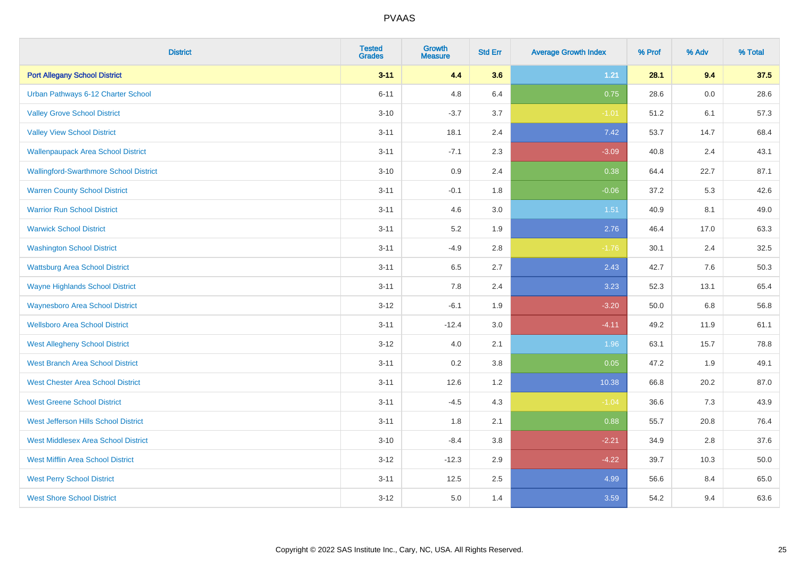| <b>District</b>                               | <b>Tested</b><br><b>Grades</b> | <b>Growth</b><br><b>Measure</b> | <b>Std Err</b> | <b>Average Growth Index</b> | % Prof | % Adv   | % Total |
|-----------------------------------------------|--------------------------------|---------------------------------|----------------|-----------------------------|--------|---------|---------|
| <b>Port Allegany School District</b>          | $3 - 11$                       | 4.4                             | 3.6            | $1.21$                      | 28.1   | 9.4     | 37.5    |
| Urban Pathways 6-12 Charter School            | $6 - 11$                       | 4.8                             | 6.4            | 0.75                        | 28.6   | 0.0     | 28.6    |
| <b>Valley Grove School District</b>           | $3 - 10$                       | $-3.7$                          | 3.7            | $-1.01$                     | 51.2   | 6.1     | 57.3    |
| <b>Valley View School District</b>            | $3 - 11$                       | 18.1                            | 2.4            | 7.42                        | 53.7   | 14.7    | 68.4    |
| <b>Wallenpaupack Area School District</b>     | $3 - 11$                       | $-7.1$                          | 2.3            | $-3.09$                     | 40.8   | 2.4     | 43.1    |
| <b>Wallingford-Swarthmore School District</b> | $3 - 10$                       | 0.9                             | 2.4            | 0.38                        | 64.4   | 22.7    | 87.1    |
| <b>Warren County School District</b>          | $3 - 11$                       | $-0.1$                          | 1.8            | $-0.06$                     | 37.2   | 5.3     | 42.6    |
| <b>Warrior Run School District</b>            | $3 - 11$                       | 4.6                             | 3.0            | 1.51                        | 40.9   | 8.1     | 49.0    |
| <b>Warwick School District</b>                | $3 - 11$                       | 5.2                             | 1.9            | 2.76                        | 46.4   | 17.0    | 63.3    |
| <b>Washington School District</b>             | $3 - 11$                       | $-4.9$                          | 2.8            | $-1.76$                     | 30.1   | 2.4     | 32.5    |
| <b>Wattsburg Area School District</b>         | $3 - 11$                       | 6.5                             | 2.7            | 2.43                        | 42.7   | 7.6     | 50.3    |
| <b>Wayne Highlands School District</b>        | $3 - 11$                       | 7.8                             | 2.4            | 3.23                        | 52.3   | 13.1    | 65.4    |
| <b>Waynesboro Area School District</b>        | $3 - 12$                       | $-6.1$                          | 1.9            | $-3.20$                     | 50.0   | $6.8\,$ | 56.8    |
| <b>Wellsboro Area School District</b>         | $3 - 11$                       | $-12.4$                         | 3.0            | $-4.11$                     | 49.2   | 11.9    | 61.1    |
| <b>West Allegheny School District</b>         | $3 - 12$                       | 4.0                             | 2.1            | 1.96                        | 63.1   | 15.7    | 78.8    |
| <b>West Branch Area School District</b>       | $3 - 11$                       | 0.2                             | 3.8            | 0.05                        | 47.2   | 1.9     | 49.1    |
| <b>West Chester Area School District</b>      | $3 - 11$                       | 12.6                            | 1.2            | 10.38                       | 66.8   | 20.2    | 87.0    |
| <b>West Greene School District</b>            | $3 - 11$                       | $-4.5$                          | 4.3            | $-1.04$                     | 36.6   | 7.3     | 43.9    |
| West Jefferson Hills School District          | $3 - 11$                       | 1.8                             | 2.1            | 0.88                        | 55.7   | 20.8    | 76.4    |
| <b>West Middlesex Area School District</b>    | $3 - 10$                       | $-8.4$                          | 3.8            | $-2.21$                     | 34.9   | 2.8     | 37.6    |
| <b>West Mifflin Area School District</b>      | $3 - 12$                       | $-12.3$                         | 2.9            | $-4.22$                     | 39.7   | 10.3    | 50.0    |
| <b>West Perry School District</b>             | $3 - 11$                       | 12.5                            | 2.5            | 4.99                        | 56.6   | 8.4     | 65.0    |
| <b>West Shore School District</b>             | $3 - 12$                       | 5.0                             | 1.4            | 3.59                        | 54.2   | 9.4     | 63.6    |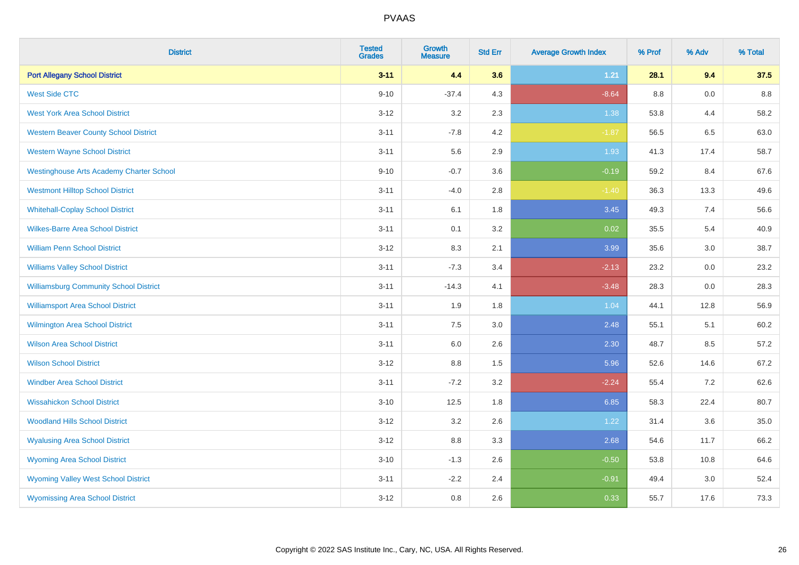| <b>District</b>                                 | <b>Tested</b><br><b>Grades</b> | <b>Growth</b><br><b>Measure</b> | <b>Std Err</b> | <b>Average Growth Index</b> | % Prof | % Adv   | % Total |
|-------------------------------------------------|--------------------------------|---------------------------------|----------------|-----------------------------|--------|---------|---------|
| <b>Port Allegany School District</b>            | $3 - 11$                       | 4.4                             | 3.6            | 1.21                        | 28.1   | 9.4     | 37.5    |
| <b>West Side CTC</b>                            | $9 - 10$                       | $-37.4$                         | 4.3            | $-8.64$                     | 8.8    | 0.0     | 8.8     |
| <b>West York Area School District</b>           | $3 - 12$                       | 3.2                             | 2.3            | 1.38                        | 53.8   | 4.4     | 58.2    |
| <b>Western Beaver County School District</b>    | $3 - 11$                       | $-7.8$                          | 4.2            | $-1.87$                     | 56.5   | 6.5     | 63.0    |
| <b>Western Wayne School District</b>            | $3 - 11$                       | 5.6                             | 2.9            | 1.93                        | 41.3   | 17.4    | 58.7    |
| <b>Westinghouse Arts Academy Charter School</b> | $9 - 10$                       | $-0.7$                          | 3.6            | $-0.19$                     | 59.2   | 8.4     | 67.6    |
| <b>Westmont Hilltop School District</b>         | $3 - 11$                       | $-4.0$                          | 2.8            | $-1.40$                     | 36.3   | 13.3    | 49.6    |
| <b>Whitehall-Coplay School District</b>         | $3 - 11$                       | 6.1                             | 1.8            | 3.45                        | 49.3   | 7.4     | 56.6    |
| <b>Wilkes-Barre Area School District</b>        | $3 - 11$                       | 0.1                             | 3.2            | 0.02                        | 35.5   | 5.4     | 40.9    |
| <b>William Penn School District</b>             | $3 - 12$                       | 8.3                             | 2.1            | 3.99                        | 35.6   | 3.0     | 38.7    |
| <b>Williams Valley School District</b>          | $3 - 11$                       | $-7.3$                          | 3.4            | $-2.13$                     | 23.2   | 0.0     | 23.2    |
| <b>Williamsburg Community School District</b>   | $3 - 11$                       | $-14.3$                         | 4.1            | $-3.48$                     | 28.3   | 0.0     | 28.3    |
| <b>Williamsport Area School District</b>        | $3 - 11$                       | 1.9                             | 1.8            | 1.04                        | 44.1   | 12.8    | 56.9    |
| <b>Wilmington Area School District</b>          | $3 - 11$                       | 7.5                             | 3.0            | 2.48                        | 55.1   | 5.1     | 60.2    |
| <b>Wilson Area School District</b>              | $3 - 11$                       | 6.0                             | 2.6            | 2.30                        | 48.7   | 8.5     | 57.2    |
| <b>Wilson School District</b>                   | $3 - 12$                       | $8.8\,$                         | 1.5            | 5.96                        | 52.6   | 14.6    | 67.2    |
| <b>Windber Area School District</b>             | $3 - 11$                       | $-7.2$                          | 3.2            | $-2.24$                     | 55.4   | 7.2     | 62.6    |
| <b>Wissahickon School District</b>              | $3 - 10$                       | 12.5                            | 1.8            | 6.85                        | 58.3   | 22.4    | 80.7    |
| <b>Woodland Hills School District</b>           | $3 - 12$                       | 3.2                             | 2.6            | 1.22                        | 31.4   | 3.6     | 35.0    |
| <b>Wyalusing Area School District</b>           | $3 - 12$                       | 8.8                             | 3.3            | 2.68                        | 54.6   | 11.7    | 66.2    |
| <b>Wyoming Area School District</b>             | $3 - 10$                       | $-1.3$                          | 2.6            | $-0.50$                     | 53.8   | 10.8    | 64.6    |
| <b>Wyoming Valley West School District</b>      | $3 - 11$                       | $-2.2$                          | 2.4            | $-0.91$                     | 49.4   | $3.0\,$ | 52.4    |
| <b>Wyomissing Area School District</b>          | $3 - 12$                       | 0.8                             | 2.6            | 0.33                        | 55.7   | 17.6    | 73.3    |